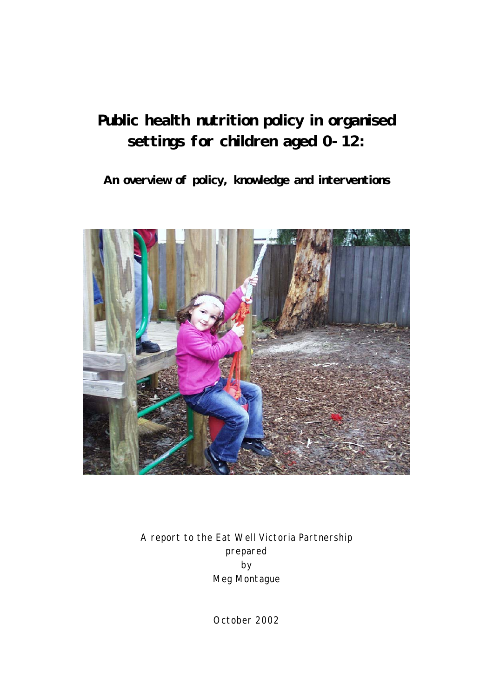# **Public health nutrition policy in organised settings for children aged 0-12:**

**An overview of policy, knowledge and interventions** 



A report to the Eat Well Victoria Partnership prepared by Meg Montague

October 2002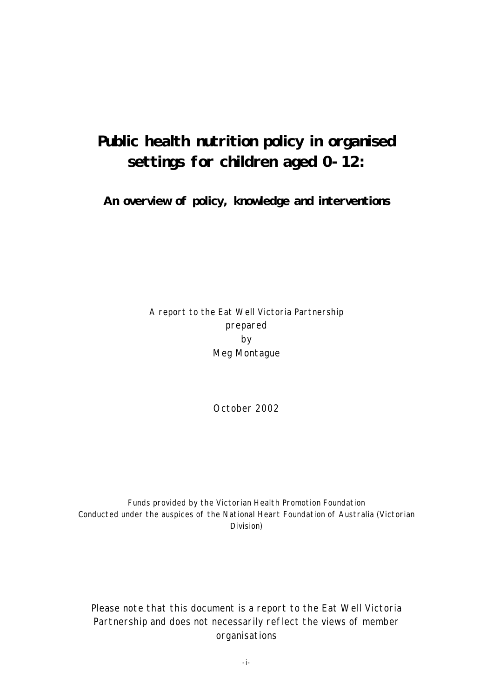# **Public health nutrition policy in organised settings for children aged 0-12:**

**An overview of policy, knowledge and interventions** 

## A report to the Eat Well Victoria Partnership prepared by Meg Montague

October 2002

Funds provided by the Victorian Health Promotion Foundation Conducted under the auspices of the National Heart Foundation of Australia (Victorian Division)

Please note that this document is a report to the Eat Well Victoria Partnership and does not necessarily reflect the views of member organisations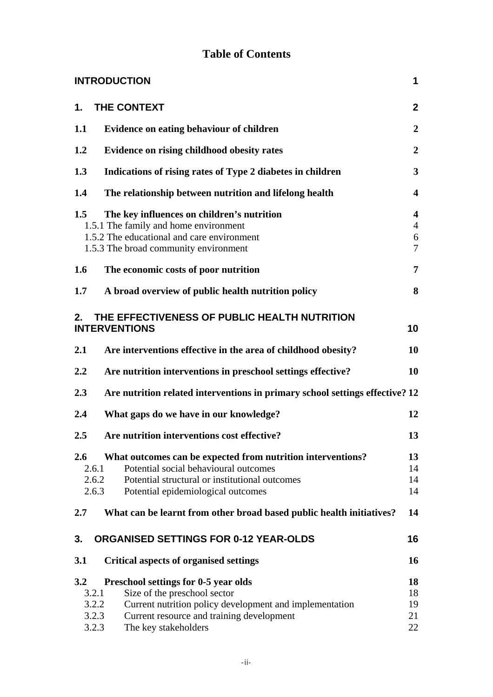# **Table of Contents**

|     | <b>INTRODUCTION</b>                                                                                                                                                                                                                             | 1                                          |
|-----|-------------------------------------------------------------------------------------------------------------------------------------------------------------------------------------------------------------------------------------------------|--------------------------------------------|
| 1.  | THE CONTEXT                                                                                                                                                                                                                                     | $\overline{2}$                             |
| 1.1 | Evidence on eating behaviour of children                                                                                                                                                                                                        | $\boldsymbol{2}$                           |
| 1.2 | Evidence on rising childhood obesity rates                                                                                                                                                                                                      | $\overline{2}$                             |
| 1.3 | Indications of rising rates of Type 2 diabetes in children                                                                                                                                                                                      | $\mathbf{3}$                               |
| 1.4 | The relationship between nutrition and lifelong health                                                                                                                                                                                          | $\overline{\mathbf{4}}$                    |
| 1.5 | The key influences on children's nutrition<br>1.5.1 The family and home environment<br>1.5.2 The educational and care environment<br>1.5.3 The broad community environment                                                                      | 4<br>$\overline{4}$<br>6<br>$\overline{7}$ |
| 1.6 | The economic costs of poor nutrition                                                                                                                                                                                                            | 7                                          |
| 1.7 | A broad overview of public health nutrition policy                                                                                                                                                                                              | 8                                          |
| 2.  | THE EFFECTIVENESS OF PUBLIC HEALTH NUTRITION<br><b>INTERVENTIONS</b>                                                                                                                                                                            | 10                                         |
| 2.1 | Are interventions effective in the area of childhood obesity?                                                                                                                                                                                   | 10                                         |
| 2.2 | Are nutrition interventions in preschool settings effective?                                                                                                                                                                                    | 10                                         |
| 2.3 | Are nutrition related interventions in primary school settings effective? 12                                                                                                                                                                    |                                            |
| 2.4 | What gaps do we have in our knowledge?                                                                                                                                                                                                          | 12                                         |
| 2.5 | Are nutrition interventions cost effective?                                                                                                                                                                                                     | 13                                         |
| 2.6 | What outcomes can be expected from nutrition interventions?<br>Potential social behavioural outcomes<br>2.6.1<br>2.6.2<br>Potential structural or institutional outcomes<br>2.6.3<br>Potential epidemiological outcomes                         | 13<br>14<br>14<br>14                       |
| 2.7 | What can be learnt from other broad based public health initiatives?                                                                                                                                                                            | 14                                         |
| 3.  | <b>ORGANISED SETTINGS FOR 0-12 YEAR-OLDS</b>                                                                                                                                                                                                    | 16                                         |
| 3.1 | <b>Critical aspects of organised settings</b>                                                                                                                                                                                                   | 16                                         |
| 3.2 | <b>Preschool settings for 0-5 year olds</b><br>3.2.1<br>Size of the preschool sector<br>Current nutrition policy development and implementation<br>3.2.2<br>3.2.3<br>Current resource and training development<br>3.2.3<br>The key stakeholders | 18<br>18<br>19<br>21<br>22                 |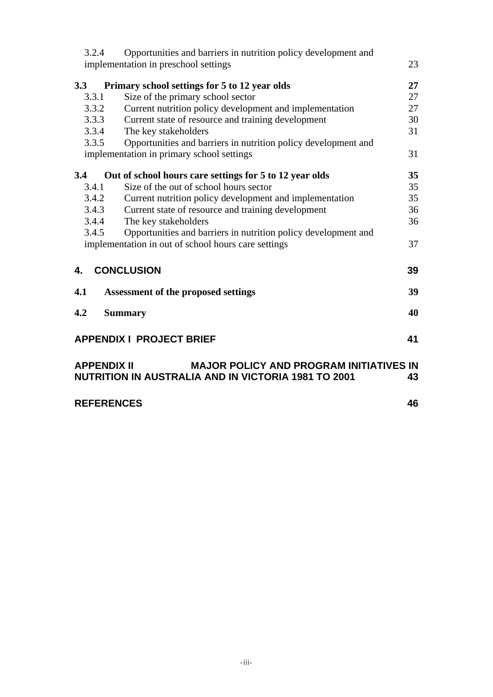| 3.2.4              | Opportunities and barriers in nutrition policy development and |    |
|--------------------|----------------------------------------------------------------|----|
|                    | implementation in preschool settings                           | 23 |
| 3.3                | Primary school settings for 5 to 12 year olds                  | 27 |
| 3.3.1              | Size of the primary school sector                              | 27 |
| 3.3.2              | Current nutrition policy development and implementation        | 27 |
| 3.3.3              | Current state of resource and training development             | 30 |
| 3.3.4              | The key stakeholders                                           | 31 |
| 3.3.5              | Opportunities and barriers in nutrition policy development and |    |
|                    | implementation in primary school settings                      | 31 |
| 3.4                | Out of school hours care settings for 5 to 12 year olds        | 35 |
| 3.4.1              | Size of the out of school hours sector                         | 35 |
| 3.4.2              | Current nutrition policy development and implementation        | 35 |
| 3.4.3              | Current state of resource and training development             | 36 |
| 3.4.4              | The key stakeholders                                           | 36 |
| 3.4.5              | Opportunities and barriers in nutrition policy development and |    |
|                    | implementation in out of school hours care settings            | 37 |
| 4.                 | <b>CONCLUSION</b>                                              | 39 |
| 4.1                | <b>Assessment of the proposed settings</b>                     | 39 |
| 4.2                | <b>Summary</b>                                                 | 40 |
|                    | <b>APPENDIX I PROJECT BRIEF</b>                                | 41 |
| <b>APPENDIX II</b> | <b>MAJOR POLICY AND PROGRAM INITIATIVES IN</b>                 |    |
|                    | <b>NUTRITION IN AUSTRALIA AND IN VICTORIA 1981 TO 2001</b>     | 43 |
| <b>REFERENCES</b>  |                                                                | 46 |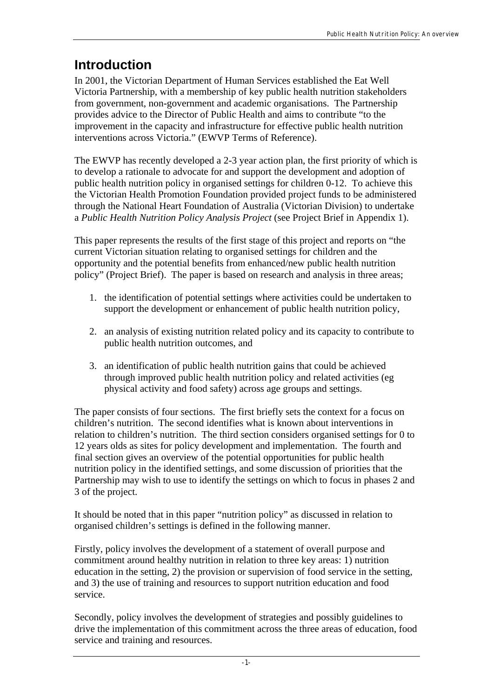# **Introduction**

In 2001, the Victorian Department of Human Services established the Eat Well Victoria Partnership, with a membership of key public health nutrition stakeholders from government, non-government and academic organisations. The Partnership provides advice to the Director of Public Health and aims to contribute "to the improvement in the capacity and infrastructure for effective public health nutrition interventions across Victoria." (EWVP Terms of Reference).

The EWVP has recently developed a 2-3 year action plan, the first priority of which is to develop a rationale to advocate for and support the development and adoption of public health nutrition policy in organised settings for children 0-12. To achieve this the Victorian Health Promotion Foundation provided project funds to be administered through the National Heart Foundation of Australia (Victorian Division) to undertake a *Public Health Nutrition Policy Analysis Project* (see Project Brief in Appendix 1).

This paper represents the results of the first stage of this project and reports on "the current Victorian situation relating to organised settings for children and the opportunity and the potential benefits from enhanced/new public health nutrition policy" (Project Brief). The paper is based on research and analysis in three areas;

- 1. the identification of potential settings where activities could be undertaken to support the development or enhancement of public health nutrition policy,
- 2. an analysis of existing nutrition related policy and its capacity to contribute to public health nutrition outcomes, and
- 3. an identification of public health nutrition gains that could be achieved through improved public health nutrition policy and related activities (eg physical activity and food safety) across age groups and settings.

The paper consists of four sections. The first briefly sets the context for a focus on children's nutrition. The second identifies what is known about interventions in relation to children's nutrition. The third section considers organised settings for 0 to 12 years olds as sites for policy development and implementation. The fourth and final section gives an overview of the potential opportunities for public health nutrition policy in the identified settings, and some discussion of priorities that the Partnership may wish to use to identify the settings on which to focus in phases 2 and 3 of the project.

It should be noted that in this paper "nutrition policy" as discussed in relation to organised children's settings is defined in the following manner.

Firstly, policy involves the development of a statement of overall purpose and commitment around healthy nutrition in relation to three key areas: 1) nutrition education in the setting, 2) the provision or supervision of food service in the setting, and 3) the use of training and resources to support nutrition education and food service.

Secondly, policy involves the development of strategies and possibly guidelines to drive the implementation of this commitment across the three areas of education, food service and training and resources.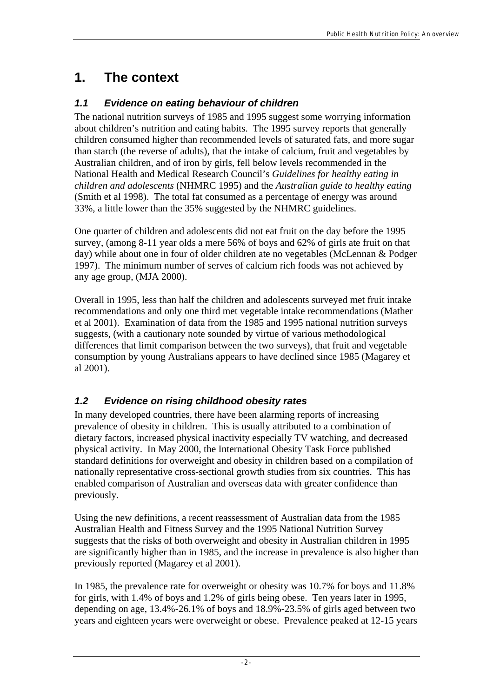# **1. The context**

## *1.1 Evidence on eating behaviour of children*

The national nutrition surveys of 1985 and 1995 suggest some worrying information about children's nutrition and eating habits. The 1995 survey reports that generally children consumed higher than recommended levels of saturated fats, and more sugar than starch (the reverse of adults), that the intake of calcium, fruit and vegetables by Australian children, and of iron by girls, fell below levels recommended in the National Health and Medical Research Council's *Guidelines for healthy eating in children and adolescents* (NHMRC 1995) and the *Australian guide to healthy eating*  (Smith et al 1998). The total fat consumed as a percentage of energy was around 33%, a little lower than the 35% suggested by the NHMRC guidelines.

One quarter of children and adolescents did not eat fruit on the day before the 1995 survey, (among 8-11 year olds a mere 56% of boys and 62% of girls ate fruit on that day) while about one in four of older children ate no vegetables (McLennan & Podger 1997). The minimum number of serves of calcium rich foods was not achieved by any age group, (MJA 2000).

Overall in 1995, less than half the children and adolescents surveyed met fruit intake recommendations and only one third met vegetable intake recommendations (Mather et al 2001). Examination of data from the 1985 and 1995 national nutrition surveys suggests, (with a cautionary note sounded by virtue of various methodological differences that limit comparison between the two surveys), that fruit and vegetable consumption by young Australians appears to have declined since 1985 (Magarey et al 2001).

# *1.2 Evidence on rising childhood obesity rates*

In many developed countries, there have been alarming reports of increasing prevalence of obesity in children. This is usually attributed to a combination of dietary factors, increased physical inactivity especially TV watching, and decreased physical activity. In May 2000, the International Obesity Task Force published standard definitions for overweight and obesity in children based on a compilation of nationally representative cross-sectional growth studies from six countries. This has enabled comparison of Australian and overseas data with greater confidence than previously.

Using the new definitions, a recent reassessment of Australian data from the 1985 Australian Health and Fitness Survey and the 1995 National Nutrition Survey suggests that the risks of both overweight and obesity in Australian children in 1995 are significantly higher than in 1985, and the increase in prevalence is also higher than previously reported (Magarey et al 2001).

In 1985, the prevalence rate for overweight or obesity was 10.7% for boys and 11.8% for girls, with 1.4% of boys and 1.2% of girls being obese. Ten years later in 1995, depending on age, 13.4%-26.1% of boys and 18.9%-23.5% of girls aged between two years and eighteen years were overweight or obese. Prevalence peaked at 12-15 years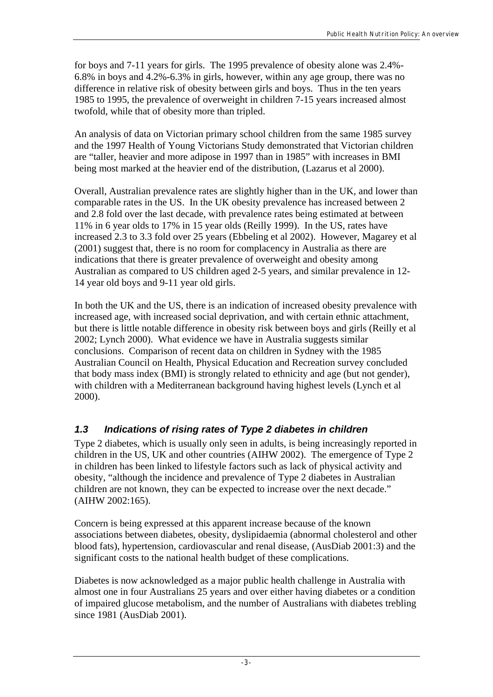for boys and 7-11 years for girls. The 1995 prevalence of obesity alone was 2.4%- 6.8% in boys and 4.2%-6.3% in girls, however, within any age group, there was no difference in relative risk of obesity between girls and boys. Thus in the ten years 1985 to 1995, the prevalence of overweight in children 7-15 years increased almost twofold, while that of obesity more than tripled.

An analysis of data on Victorian primary school children from the same 1985 survey and the 1997 Health of Young Victorians Study demonstrated that Victorian children are "taller, heavier and more adipose in 1997 than in 1985" with increases in BMI being most marked at the heavier end of the distribution, (Lazarus et al 2000).

Overall, Australian prevalence rates are slightly higher than in the UK, and lower than comparable rates in the US. In the UK obesity prevalence has increased between 2 and 2.8 fold over the last decade, with prevalence rates being estimated at between 11% in 6 year olds to 17% in 15 year olds (Reilly 1999). In the US, rates have increased 2.3 to 3.3 fold over 25 years (Ebbeling et al 2002). However, Magarey et al (2001) suggest that, there is no room for complacency in Australia as there are indications that there is greater prevalence of overweight and obesity among Australian as compared to US children aged 2-5 years, and similar prevalence in 12- 14 year old boys and 9-11 year old girls.

In both the UK and the US, there is an indication of increased obesity prevalence with increased age, with increased social deprivation, and with certain ethnic attachment, but there is little notable difference in obesity risk between boys and girls (Reilly et al 2002; Lynch 2000). What evidence we have in Australia suggests similar conclusions. Comparison of recent data on children in Sydney with the 1985 Australian Council on Health, Physical Education and Recreation survey concluded that body mass index (BMI) is strongly related to ethnicity and age (but not gender), with children with a Mediterranean background having highest levels (Lynch et al 2000).

# *1.3 Indications of rising rates of Type 2 diabetes in children*

Type 2 diabetes, which is usually only seen in adults, is being increasingly reported in children in the US, UK and other countries (AIHW 2002). The emergence of Type 2 in children has been linked to lifestyle factors such as lack of physical activity and obesity, "although the incidence and prevalence of Type 2 diabetes in Australian children are not known, they can be expected to increase over the next decade." (AIHW 2002:165).

Concern is being expressed at this apparent increase because of the known associations between diabetes, obesity, dyslipidaemia (abnormal cholesterol and other blood fats), hypertension, cardiovascular and renal disease, (AusDiab 2001:3) and the significant costs to the national health budget of these complications.

Diabetes is now acknowledged as a major public health challenge in Australia with almost one in four Australians 25 years and over either having diabetes or a condition of impaired glucose metabolism, and the number of Australians with diabetes trebling since 1981 (AusDiab 2001).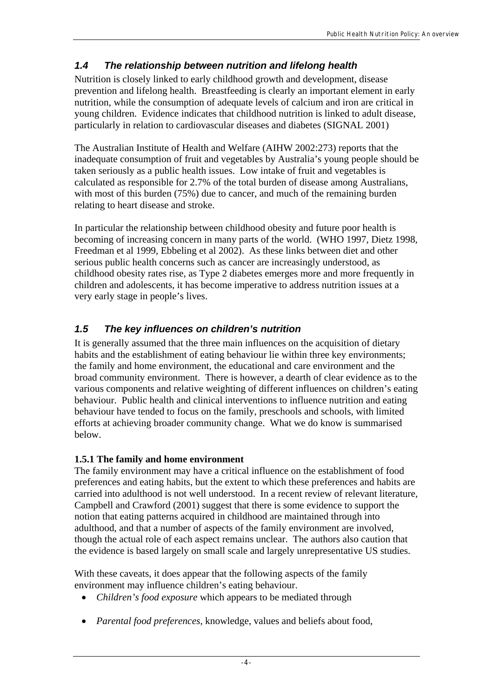## *1.4 The relationship between nutrition and lifelong health*

Nutrition is closely linked to early childhood growth and development, disease prevention and lifelong health. Breastfeeding is clearly an important element in early nutrition, while the consumption of adequate levels of calcium and iron are critical in young children. Evidence indicates that childhood nutrition is linked to adult disease, particularly in relation to cardiovascular diseases and diabetes (SIGNAL 2001)

The Australian Institute of Health and Welfare (AIHW 2002:273) reports that the inadequate consumption of fruit and vegetables by Australia's young people should be taken seriously as a public health issues. Low intake of fruit and vegetables is calculated as responsible for 2.7% of the total burden of disease among Australians, with most of this burden (75%) due to cancer, and much of the remaining burden relating to heart disease and stroke.

In particular the relationship between childhood obesity and future poor health is becoming of increasing concern in many parts of the world. (WHO 1997, Dietz 1998, Freedman et al 1999, Ebbeling et al 2002). As these links between diet and other serious public health concerns such as cancer are increasingly understood, as childhood obesity rates rise, as Type 2 diabetes emerges more and more frequently in children and adolescents, it has become imperative to address nutrition issues at a very early stage in people's lives.

## *1.5 The key influences on children's nutrition*

It is generally assumed that the three main influences on the acquisition of dietary habits and the establishment of eating behaviour lie within three key environments; the family and home environment, the educational and care environment and the broad community environment. There is however, a dearth of clear evidence as to the various components and relative weighting of different influences on children's eating behaviour. Public health and clinical interventions to influence nutrition and eating behaviour have tended to focus on the family, preschools and schools, with limited efforts at achieving broader community change. What we do know is summarised below.

## **1.5.1 The family and home environment**

The family environment may have a critical influence on the establishment of food preferences and eating habits, but the extent to which these preferences and habits are carried into adulthood is not well understood. In a recent review of relevant literature, Campbell and Crawford (2001) suggest that there is some evidence to support the notion that eating patterns acquired in childhood are maintained through into adulthood, and that a number of aspects of the family environment are involved, though the actual role of each aspect remains unclear. The authors also caution that the evidence is based largely on small scale and largely unrepresentative US studies.

With these caveats, it does appear that the following aspects of the family environment may influence children's eating behaviour.

- *Children's food exposure* which appears to be mediated through
- *Parental food preferences*, knowledge, values and beliefs about food,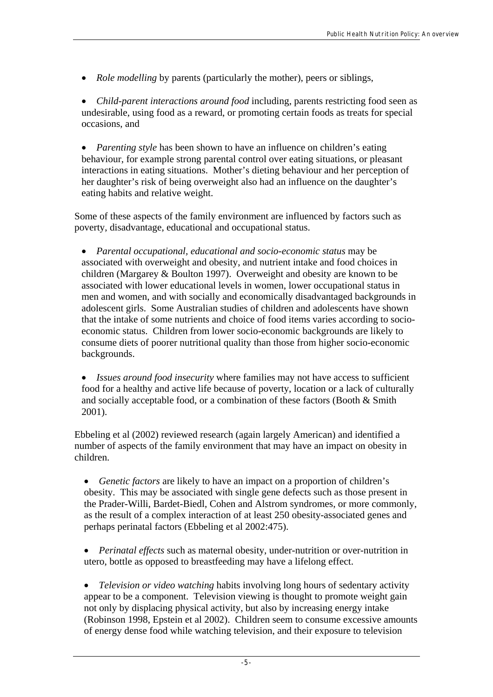• *Role modelling* by parents (particularly the mother), peers or siblings,

• *Child-parent interactions around food* including, parents restricting food seen as undesirable, using food as a reward, or promoting certain foods as treats for special occasions, and

• *Parenting style* has been shown to have an influence on children's eating behaviour, for example strong parental control over eating situations, or pleasant interactions in eating situations. Mother's dieting behaviour and her perception of her daughter's risk of being overweight also had an influence on the daughter's eating habits and relative weight.

Some of these aspects of the family environment are influenced by factors such as poverty, disadvantage, educational and occupational status.

• *Parental occupational, educational and socio-economic status* may be associated with overweight and obesity, and nutrient intake and food choices in children (Margarey & Boulton 1997). Overweight and obesity are known to be associated with lower educational levels in women, lower occupational status in men and women, and with socially and economically disadvantaged backgrounds in adolescent girls. Some Australian studies of children and adolescents have shown that the intake of some nutrients and choice of food items varies according to socioeconomic status. Children from lower socio-economic backgrounds are likely to consume diets of poorer nutritional quality than those from higher socio-economic backgrounds.

• *Issues around food insecurity* where families may not have access to sufficient food for a healthy and active life because of poverty, location or a lack of culturally and socially acceptable food, or a combination of these factors (Booth & Smith 2001).

Ebbeling et al (2002) reviewed research (again largely American) and identified a number of aspects of the family environment that may have an impact on obesity in children.

• *Genetic factors* are likely to have an impact on a proportion of children's obesity. This may be associated with single gene defects such as those present in the Prader-Willi, Bardet-Biedl, Cohen and Alstrom syndromes, or more commonly, as the result of a complex interaction of at least 250 obesity-associated genes and perhaps perinatal factors (Ebbeling et al 2002:475).

• *Perinatal effects* such as maternal obesity, under-nutrition or over-nutrition in utero, bottle as opposed to breastfeeding may have a lifelong effect.

• *Television or video watching* habits involving long hours of sedentary activity appear to be a component. Television viewing is thought to promote weight gain not only by displacing physical activity, but also by increasing energy intake (Robinson 1998, Epstein et al 2002). Children seem to consume excessive amounts of energy dense food while watching television, and their exposure to television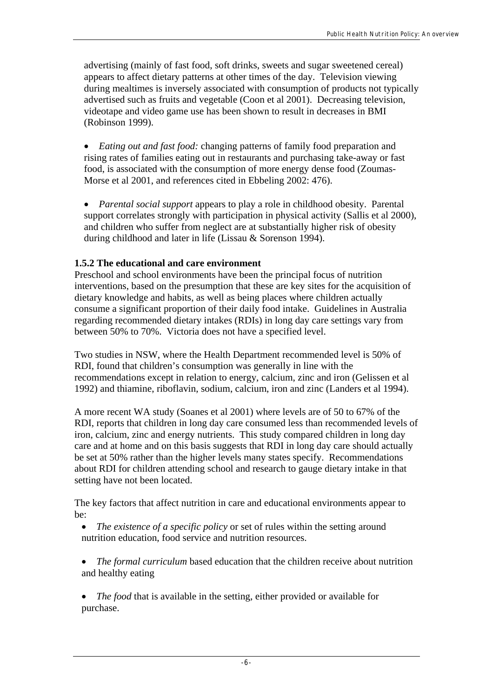advertising (mainly of fast food, soft drinks, sweets and sugar sweetened cereal) appears to affect dietary patterns at other times of the day. Television viewing during mealtimes is inversely associated with consumption of products not typically advertised such as fruits and vegetable (Coon et al 2001). Decreasing television, videotape and video game use has been shown to result in decreases in BMI (Robinson 1999).

• *Eating out and fast food:* changing patterns of family food preparation and rising rates of families eating out in restaurants and purchasing take-away or fast food, is associated with the consumption of more energy dense food (Zoumas-Morse et al 2001, and references cited in Ebbeling 2002: 476).

• *Parental social support* appears to play a role in childhood obesity. Parental support correlates strongly with participation in physical activity (Sallis et al 2000), and children who suffer from neglect are at substantially higher risk of obesity during childhood and later in life (Lissau & Sorenson 1994).

## **1.5.2 The educational and care environment**

Preschool and school environments have been the principal focus of nutrition interventions, based on the presumption that these are key sites for the acquisition of dietary knowledge and habits, as well as being places where children actually consume a significant proportion of their daily food intake. Guidelines in Australia regarding recommended dietary intakes (RDIs) in long day care settings vary from between 50% to 70%. Victoria does not have a specified level.

Two studies in NSW, where the Health Department recommended level is 50% of RDI, found that children's consumption was generally in line with the recommendations except in relation to energy, calcium, zinc and iron (Gelissen et al 1992) and thiamine, riboflavin, sodium, calcium, iron and zinc (Landers et al 1994).

A more recent WA study (Soanes et al 2001) where levels are of 50 to 67% of the RDI, reports that children in long day care consumed less than recommended levels of iron, calcium, zinc and energy nutrients. This study compared children in long day care and at home and on this basis suggests that RDI in long day care should actually be set at 50% rather than the higher levels many states specify. Recommendations about RDI for children attending school and research to gauge dietary intake in that setting have not been located.

The key factors that affect nutrition in care and educational environments appear to be:

- *The existence of a specific policy* or set of rules within the setting around nutrition education, food service and nutrition resources.
- *The formal curriculum* based education that the children receive about nutrition and healthy eating
- *The food* that is available in the setting, either provided or available for purchase.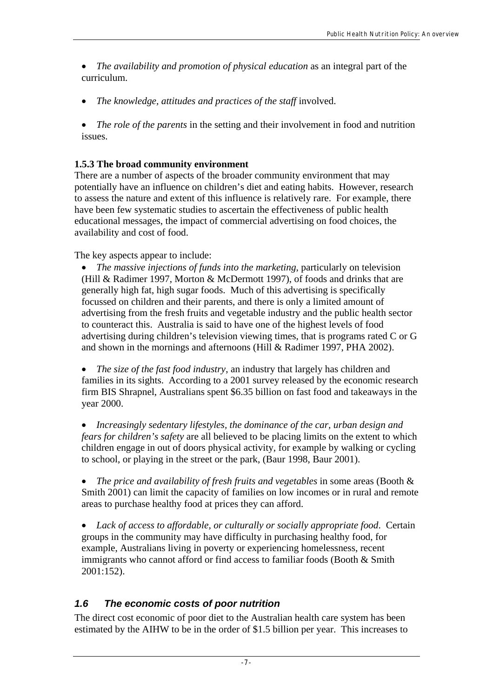• *The availability and promotion of physical education* as an integral part of the curriculum.

• *The knowledge, attitudes and practices of the staff* involved.

• *The role of the parents* in the setting and their involvement in food and nutrition issues.

## **1.5.3 The broad community environment**

There are a number of aspects of the broader community environment that may potentially have an influence on children's diet and eating habits. However, research to assess the nature and extent of this influence is relatively rare. For example, there have been few systematic studies to ascertain the effectiveness of public health educational messages, the impact of commercial advertising on food choices, the availability and cost of food.

The key aspects appear to include:

• *The massive injections of funds into the marketing*, particularly on television (Hill & Radimer 1997, Morton & McDermott 1997), of foods and drinks that are generally high fat, high sugar foods. Much of this advertising is specifically focussed on children and their parents, and there is only a limited amount of advertising from the fresh fruits and vegetable industry and the public health sector to counteract this. Australia is said to have one of the highest levels of food advertising during children's television viewing times, that is programs rated C or G and shown in the mornings and afternoons (Hill & Radimer 1997, PHA 2002).

• *The size of the fast food industry*, an industry that largely has children and families in its sights. According to a 2001 survey released by the economic research firm BIS Shrapnel, Australians spent \$6.35 billion on fast food and takeaways in the year 2000.

• *Increasingly sedentary lifestyles, the dominance of the car, urban design and fears for children's safety* are all believed to be placing limits on the extent to which children engage in out of doors physical activity, for example by walking or cycling to school, or playing in the street or the park, (Baur 1998, Baur 2001).

• *The price and availability of fresh fruits and vegetables* in some areas (Booth & Smith 2001) can limit the capacity of families on low incomes or in rural and remote areas to purchase healthy food at prices they can afford.

• *Lack of access to affordable, or culturally or socially appropriate food*. Certain groups in the community may have difficulty in purchasing healthy food, for example, Australians living in poverty or experiencing homelessness, recent immigrants who cannot afford or find access to familiar foods (Booth & Smith 2001:152).

## *1.6 The economic costs of poor nutrition*

The direct cost economic of poor diet to the Australian health care system has been estimated by the AIHW to be in the order of \$1.5 billion per year. This increases to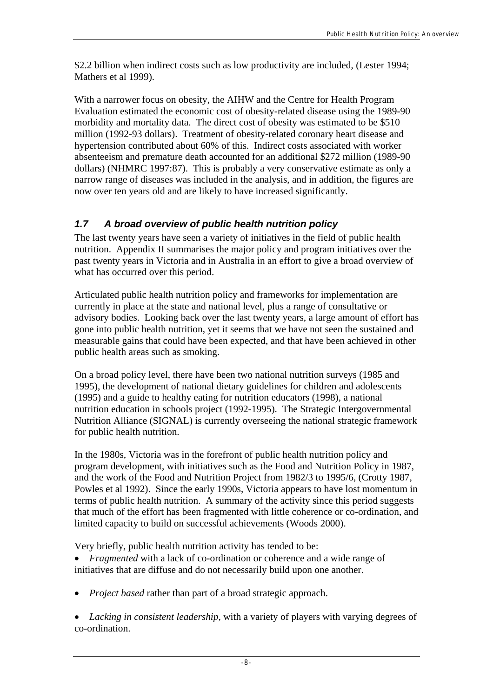\$2.2 billion when indirect costs such as low productivity are included, (Lester 1994; Mathers et al 1999).

With a narrower focus on obesity, the AIHW and the Centre for Health Program Evaluation estimated the economic cost of obesity-related disease using the 1989-90 morbidity and mortality data. The direct cost of obesity was estimated to be \$510 million (1992-93 dollars). Treatment of obesity-related coronary heart disease and hypertension contributed about 60% of this. Indirect costs associated with worker absenteeism and premature death accounted for an additional \$272 million (1989-90 dollars) (NHMRC 1997:87). This is probably a very conservative estimate as only a narrow range of diseases was included in the analysis, and in addition, the figures are now over ten years old and are likely to have increased significantly.

## *1.7 A broad overview of public health nutrition policy*

The last twenty years have seen a variety of initiatives in the field of public health nutrition. Appendix II summarises the major policy and program initiatives over the past twenty years in Victoria and in Australia in an effort to give a broad overview of what has occurred over this period.

Articulated public health nutrition policy and frameworks for implementation are currently in place at the state and national level, plus a range of consultative or advisory bodies. Looking back over the last twenty years, a large amount of effort has gone into public health nutrition, yet it seems that we have not seen the sustained and measurable gains that could have been expected, and that have been achieved in other public health areas such as smoking.

On a broad policy level, there have been two national nutrition surveys (1985 and 1995), the development of national dietary guidelines for children and adolescents (1995) and a guide to healthy eating for nutrition educators (1998), a national nutrition education in schools project (1992-1995). The Strategic Intergovernmental Nutrition Alliance (SIGNAL) is currently overseeing the national strategic framework for public health nutrition.

In the 1980s, Victoria was in the forefront of public health nutrition policy and program development, with initiatives such as the Food and Nutrition Policy in 1987, and the work of the Food and Nutrition Project from 1982/3 to 1995/6, (Crotty 1987, Powles et al 1992). Since the early 1990s, Victoria appears to have lost momentum in terms of public health nutrition. A summary of the activity since this period suggests that much of the effort has been fragmented with little coherence or co-ordination, and limited capacity to build on successful achievements (Woods 2000).

Very briefly, public health nutrition activity has tended to be:

• *Fragmented* with a lack of co-ordination or coherence and a wide range of initiatives that are diffuse and do not necessarily build upon one another.

• *Project based* rather than part of a broad strategic approach.

• *Lacking in consistent leadership*, with a variety of players with varying degrees of co-ordination.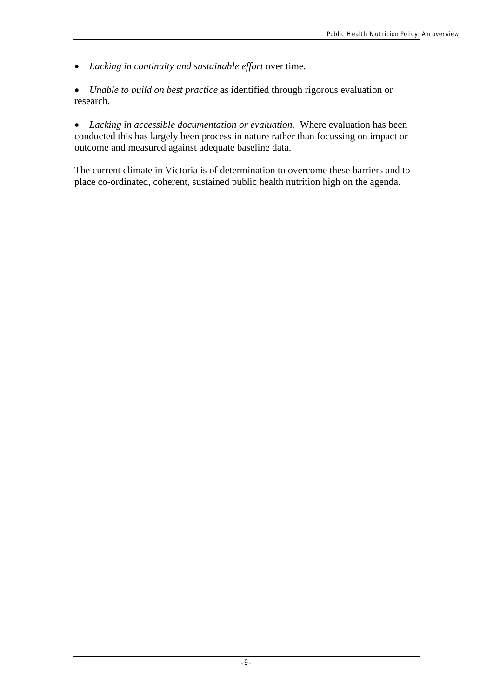- *Lacking in continuity and sustainable effort* over time.
- *Unable to build on best practice* as identified through rigorous evaluation or research.

• *Lacking in accessible documentation or evaluation.* Where evaluation has been conducted this has largely been process in nature rather than focussing on impact or outcome and measured against adequate baseline data.

The current climate in Victoria is of determination to overcome these barriers and to place co-ordinated, coherent, sustained public health nutrition high on the agenda.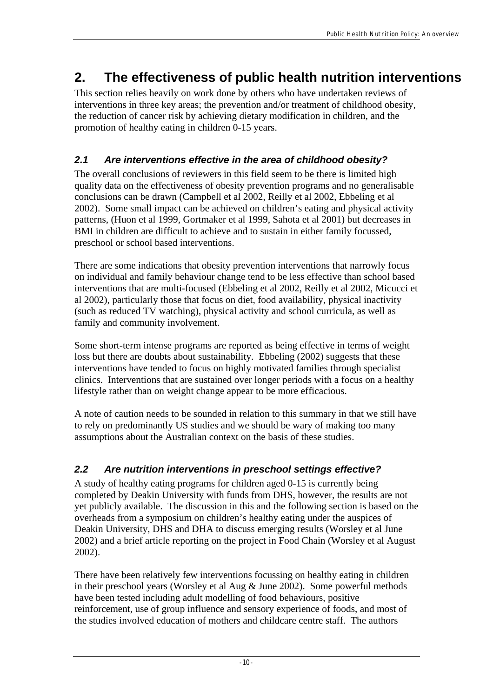# **2. The effectiveness of public health nutrition interventions**

This section relies heavily on work done by others who have undertaken reviews of interventions in three key areas; the prevention and/or treatment of childhood obesity, the reduction of cancer risk by achieving dietary modification in children, and the promotion of healthy eating in children 0-15 years.

## *2.1 Are interventions effective in the area of childhood obesity?*

The overall conclusions of reviewers in this field seem to be there is limited high quality data on the effectiveness of obesity prevention programs and no generalisable conclusions can be drawn (Campbell et al 2002, Reilly et al 2002, Ebbeling et al 2002). Some small impact can be achieved on children's eating and physical activity patterns, (Huon et al 1999, Gortmaker et al 1999, Sahota et al 2001) but decreases in BMI in children are difficult to achieve and to sustain in either family focussed, preschool or school based interventions.

There are some indications that obesity prevention interventions that narrowly focus on individual and family behaviour change tend to be less effective than school based interventions that are multi-focused (Ebbeling et al 2002, Reilly et al 2002, Micucci et al 2002), particularly those that focus on diet, food availability, physical inactivity (such as reduced TV watching), physical activity and school curricula, as well as family and community involvement.

Some short-term intense programs are reported as being effective in terms of weight loss but there are doubts about sustainability. Ebbeling (2002) suggests that these interventions have tended to focus on highly motivated families through specialist clinics. Interventions that are sustained over longer periods with a focus on a healthy lifestyle rather than on weight change appear to be more efficacious.

A note of caution needs to be sounded in relation to this summary in that we still have to rely on predominantly US studies and we should be wary of making too many assumptions about the Australian context on the basis of these studies.

## *2.2 Are nutrition interventions in preschool settings effective?*

A study of healthy eating programs for children aged 0-15 is currently being completed by Deakin University with funds from DHS, however, the results are not yet publicly available. The discussion in this and the following section is based on the overheads from a symposium on children's healthy eating under the auspices of Deakin University, DHS and DHA to discuss emerging results (Worsley et al June 2002) and a brief article reporting on the project in Food Chain (Worsley et al August 2002).

There have been relatively few interventions focussing on healthy eating in children in their preschool years (Worsley et al Aug & June 2002). Some powerful methods have been tested including adult modelling of food behaviours, positive reinforcement, use of group influence and sensory experience of foods, and most of the studies involved education of mothers and childcare centre staff. The authors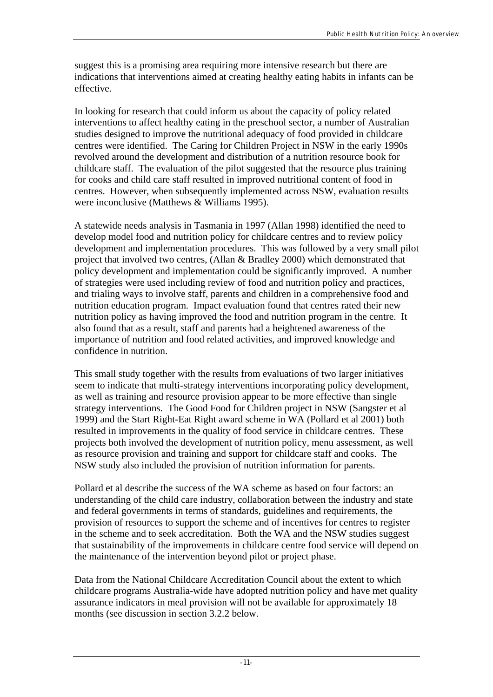suggest this is a promising area requiring more intensive research but there are indications that interventions aimed at creating healthy eating habits in infants can be effective.

In looking for research that could inform us about the capacity of policy related interventions to affect healthy eating in the preschool sector, a number of Australian studies designed to improve the nutritional adequacy of food provided in childcare centres were identified. The Caring for Children Project in NSW in the early 1990s revolved around the development and distribution of a nutrition resource book for childcare staff. The evaluation of the pilot suggested that the resource plus training for cooks and child care staff resulted in improved nutritional content of food in centres. However, when subsequently implemented across NSW, evaluation results were inconclusive (Matthews & Williams 1995).

A statewide needs analysis in Tasmania in 1997 (Allan 1998) identified the need to develop model food and nutrition policy for childcare centres and to review policy development and implementation procedures. This was followed by a very small pilot project that involved two centres, (Allan & Bradley 2000) which demonstrated that policy development and implementation could be significantly improved. A number of strategies were used including review of food and nutrition policy and practices, and trialing ways to involve staff, parents and children in a comprehensive food and nutrition education program. Impact evaluation found that centres rated their new nutrition policy as having improved the food and nutrition program in the centre. It also found that as a result, staff and parents had a heightened awareness of the importance of nutrition and food related activities, and improved knowledge and confidence in nutrition.

This small study together with the results from evaluations of two larger initiatives seem to indicate that multi-strategy interventions incorporating policy development, as well as training and resource provision appear to be more effective than single strategy interventions. The Good Food for Children project in NSW (Sangster et al 1999) and the Start Right-Eat Right award scheme in WA (Pollard et al 2001) both resulted in improvements in the quality of food service in childcare centres. These projects both involved the development of nutrition policy, menu assessment, as well as resource provision and training and support for childcare staff and cooks. The NSW study also included the provision of nutrition information for parents.

Pollard et al describe the success of the WA scheme as based on four factors: an understanding of the child care industry, collaboration between the industry and state and federal governments in terms of standards, guidelines and requirements, the provision of resources to support the scheme and of incentives for centres to register in the scheme and to seek accreditation. Both the WA and the NSW studies suggest that sustainability of the improvements in childcare centre food service will depend on the maintenance of the intervention beyond pilot or project phase.

Data from the National Childcare Accreditation Council about the extent to which childcare programs Australia-wide have adopted nutrition policy and have met quality assurance indicators in meal provision will not be available for approximately 18 months (see discussion in section 3.2.2 below.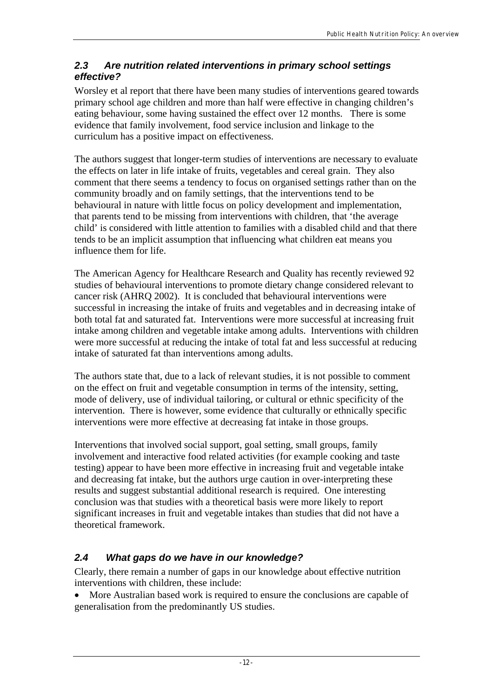## *2.3 Are nutrition related interventions in primary school settings effective?*

Worsley et al report that there have been many studies of interventions geared towards primary school age children and more than half were effective in changing children's eating behaviour, some having sustained the effect over 12 months. There is some evidence that family involvement, food service inclusion and linkage to the curriculum has a positive impact on effectiveness.

The authors suggest that longer-term studies of interventions are necessary to evaluate the effects on later in life intake of fruits, vegetables and cereal grain. They also comment that there seems a tendency to focus on organised settings rather than on the community broadly and on family settings, that the interventions tend to be behavioural in nature with little focus on policy development and implementation, that parents tend to be missing from interventions with children, that 'the average child' is considered with little attention to families with a disabled child and that there tends to be an implicit assumption that influencing what children eat means you influence them for life.

The American Agency for Healthcare Research and Quality has recently reviewed 92 studies of behavioural interventions to promote dietary change considered relevant to cancer risk (AHRQ 2002). It is concluded that behavioural interventions were successful in increasing the intake of fruits and vegetables and in decreasing intake of both total fat and saturated fat. Interventions were more successful at increasing fruit intake among children and vegetable intake among adults. Interventions with children were more successful at reducing the intake of total fat and less successful at reducing intake of saturated fat than interventions among adults.

The authors state that, due to a lack of relevant studies, it is not possible to comment on the effect on fruit and vegetable consumption in terms of the intensity, setting, mode of delivery, use of individual tailoring, or cultural or ethnic specificity of the intervention. There is however, some evidence that culturally or ethnically specific interventions were more effective at decreasing fat intake in those groups.

Interventions that involved social support, goal setting, small groups, family involvement and interactive food related activities (for example cooking and taste testing) appear to have been more effective in increasing fruit and vegetable intake and decreasing fat intake, but the authors urge caution in over-interpreting these results and suggest substantial additional research is required. One interesting conclusion was that studies with a theoretical basis were more likely to report significant increases in fruit and vegetable intakes than studies that did not have a theoretical framework.

# *2.4 What gaps do we have in our knowledge?*

Clearly, there remain a number of gaps in our knowledge about effective nutrition interventions with children, these include:

• More Australian based work is required to ensure the conclusions are capable of generalisation from the predominantly US studies.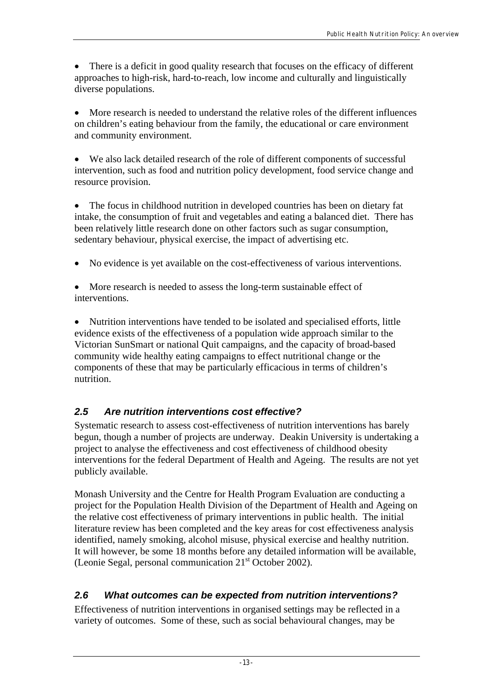• There is a deficit in good quality research that focuses on the efficacy of different approaches to high-risk, hard-to-reach, low income and culturally and linguistically diverse populations.

• More research is needed to understand the relative roles of the different influences on children's eating behaviour from the family, the educational or care environment and community environment.

• We also lack detailed research of the role of different components of successful intervention, such as food and nutrition policy development, food service change and resource provision.

• The focus in childhood nutrition in developed countries has been on dietary fat intake, the consumption of fruit and vegetables and eating a balanced diet. There has been relatively little research done on other factors such as sugar consumption, sedentary behaviour, physical exercise, the impact of advertising etc.

- No evidence is yet available on the cost-effectiveness of various interventions.
- More research is needed to assess the long-term sustainable effect of interventions.

• Nutrition interventions have tended to be isolated and specialised efforts, little evidence exists of the effectiveness of a population wide approach similar to the Victorian SunSmart or national Quit campaigns, and the capacity of broad-based community wide healthy eating campaigns to effect nutritional change or the components of these that may be particularly efficacious in terms of children's nutrition.

# *2.5 Are nutrition interventions cost effective?*

Systematic research to assess cost-effectiveness of nutrition interventions has barely begun, though a number of projects are underway. Deakin University is undertaking a project to analyse the effectiveness and cost effectiveness of childhood obesity interventions for the federal Department of Health and Ageing. The results are not yet publicly available.

Monash University and the Centre for Health Program Evaluation are conducting a project for the Population Health Division of the Department of Health and Ageing on the relative cost effectiveness of primary interventions in public health. The initial literature review has been completed and the key areas for cost effectiveness analysis identified, namely smoking, alcohol misuse, physical exercise and healthy nutrition. It will however, be some 18 months before any detailed information will be available, (Leonie Segal, personal communication  $21<sup>st</sup>$  October 2002).

# *2.6 What outcomes can be expected from nutrition interventions?*

Effectiveness of nutrition interventions in organised settings may be reflected in a variety of outcomes. Some of these, such as social behavioural changes, may be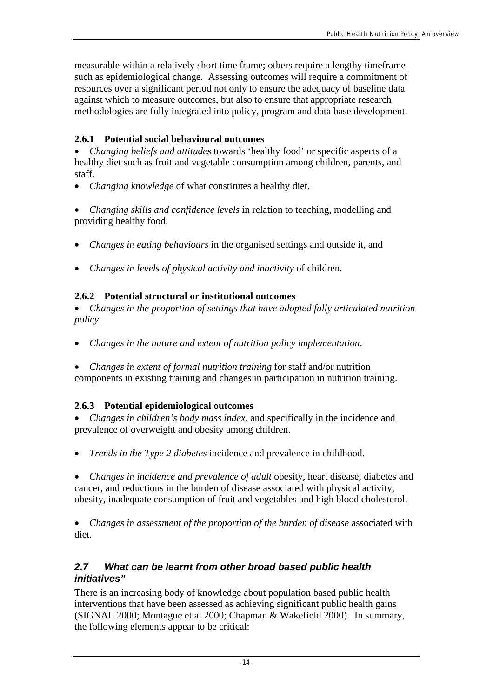measurable within a relatively short time frame; others require a lengthy timeframe such as epidemiological change. Assessing outcomes will require a commitment of resources over a significant period not only to ensure the adequacy of baseline data against which to measure outcomes, but also to ensure that appropriate research methodologies are fully integrated into policy, program and data base development.

## **2.6.1 Potential social behavioural outcomes**

• *Changing beliefs and attitudes* towards 'healthy food' or specific aspects of a healthy diet such as fruit and vegetable consumption among children, parents, and staff.

• *Changing knowledge* of what constitutes a healthy diet.

• *Changing skills and confidence levels* in relation to teaching, modelling and providing healthy food.

- *Changes in eating behaviours* in the organised settings and outside it, and
- *Changes in levels of physical activity and inactivity* of children*.*

## **2.6.2 Potential structural or institutional outcomes**

• *Changes in the proportion of settings that have adopted fully articulated nutrition policy.*

- *Changes in the nature and extent of nutrition policy implementation*.
- *Changes in extent of formal nutrition training* for staff and/or nutrition components in existing training and changes in participation in nutrition training.

## **2.6.3 Potential epidemiological outcomes**

• *Changes in children's body mass index*, and specifically in the incidence and prevalence of overweight and obesity among children.

• *Trends in the Type 2 diabetes* incidence and prevalence in childhood.

• *Changes in incidence and prevalence of adult* obesity, heart disease, diabetes and cancer, and reductions in the burden of disease associated with physical activity, obesity, inadequate consumption of fruit and vegetables and high blood cholesterol.

• *Changes in assessment of the proportion of the burden of disease associated with* diet*.*

## *2.7 What can be learnt from other broad based public health initiatives"*

There is an increasing body of knowledge about population based public health interventions that have been assessed as achieving significant public health gains (SIGNAL 2000; Montague et al 2000; Chapman & Wakefield 2000). In summary, the following elements appear to be critical: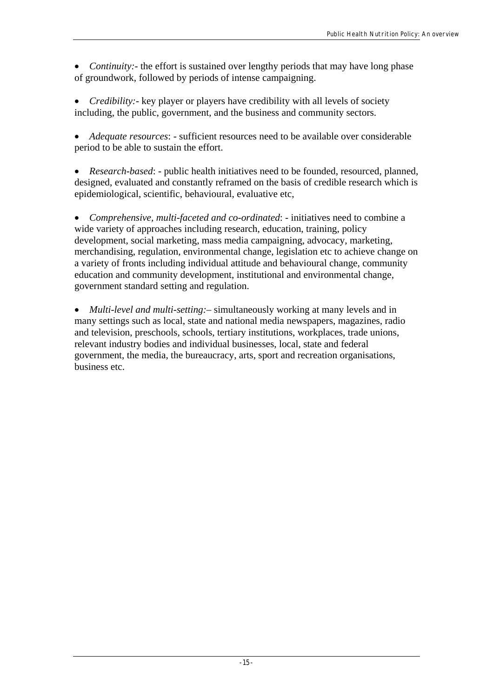- *Continuity:* the effort is sustained over lengthy periods that may have long phase of groundwork, followed by periods of intense campaigning.
- *Credibility:* key player or players have credibility with all levels of society including, the public, government, and the business and community sectors.

• *Adequate resources*: - sufficient resources need to be available over considerable period to be able to sustain the effort.

• *Research-based*: - public health initiatives need to be founded, resourced, planned, designed, evaluated and constantly reframed on the basis of credible research which is epidemiological, scientific, behavioural, evaluative etc,

• *Comprehensive, multi-faceted and co-ordinated*: - initiatives need to combine a wide variety of approaches including research, education, training, policy development, social marketing, mass media campaigning, advocacy, marketing, merchandising, regulation, environmental change, legislation etc to achieve change on a variety of fronts including individual attitude and behavioural change, community education and community development, institutional and environmental change, government standard setting and regulation.

• *Multi-level and multi-setting:* – simultaneously working at many levels and in many settings such as local, state and national media newspapers, magazines, radio and television, preschools, schools, tertiary institutions, workplaces, trade unions, relevant industry bodies and individual businesses, local, state and federal government, the media, the bureaucracy, arts, sport and recreation organisations, business etc.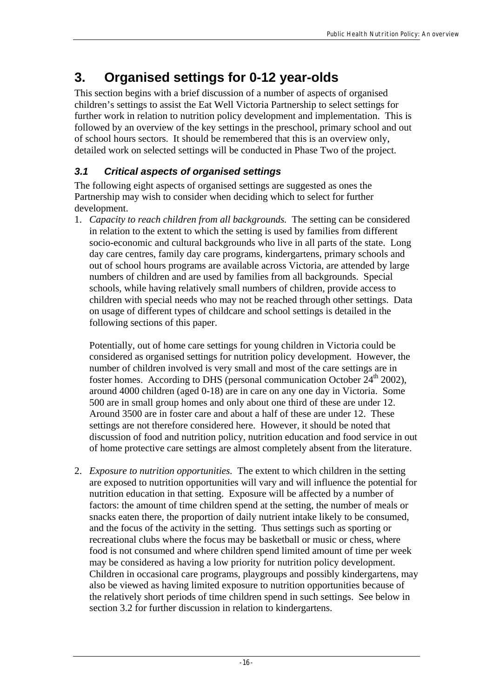# **3. Organised settings for 0-12 year-olds**

This section begins with a brief discussion of a number of aspects of organised children's settings to assist the Eat Well Victoria Partnership to select settings for further work in relation to nutrition policy development and implementation. This is followed by an overview of the key settings in the preschool, primary school and out of school hours sectors. It should be remembered that this is an overview only, detailed work on selected settings will be conducted in Phase Two of the project.

# *3.1 Critical aspects of organised settings*

The following eight aspects of organised settings are suggested as ones the Partnership may wish to consider when deciding which to select for further development.

1. *Capacity to reach children from all backgrounds.* The setting can be considered in relation to the extent to which the setting is used by families from different socio-economic and cultural backgrounds who live in all parts of the state. Long day care centres, family day care programs, kindergartens, primary schools and out of school hours programs are available across Victoria, are attended by large numbers of children and are used by families from all backgrounds. Special schools, while having relatively small numbers of children, provide access to children with special needs who may not be reached through other settings. Data on usage of different types of childcare and school settings is detailed in the following sections of this paper.

Potentially, out of home care settings for young children in Victoria could be considered as organised settings for nutrition policy development. However, the number of children involved is very small and most of the care settings are in foster homes. According to DHS (personal communication October  $24<sup>th</sup> 2002$ ), around 4000 children (aged 0-18) are in care on any one day in Victoria. Some 500 are in small group homes and only about one third of these are under 12. Around 3500 are in foster care and about a half of these are under 12. These settings are not therefore considered here. However, it should be noted that discussion of food and nutrition policy, nutrition education and food service in out of home protective care settings are almost completely absent from the literature.

2. *Exposure to nutrition opportunities.* The extent to which children in the setting are exposed to nutrition opportunities will vary and will influence the potential for nutrition education in that setting. Exposure will be affected by a number of factors: the amount of time children spend at the setting, the number of meals or snacks eaten there, the proportion of daily nutrient intake likely to be consumed, and the focus of the activity in the setting. Thus settings such as sporting or recreational clubs where the focus may be basketball or music or chess, where food is not consumed and where children spend limited amount of time per week may be considered as having a low priority for nutrition policy development. Children in occasional care programs, playgroups and possibly kindergartens, may also be viewed as having limited exposure to nutrition opportunities because of the relatively short periods of time children spend in such settings. See below in section 3.2 for further discussion in relation to kindergartens.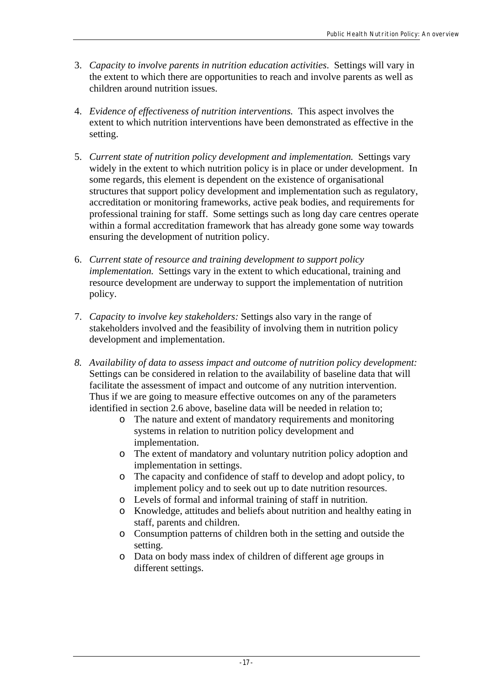- 3. *Capacity to involve parents in nutrition education activities*. Settings will vary in the extent to which there are opportunities to reach and involve parents as well as children around nutrition issues.
- 4. *Evidence of effectiveness of nutrition interventions.* This aspect involves the extent to which nutrition interventions have been demonstrated as effective in the setting.
- 5. *Current state of nutrition policy development and implementation.* Settings vary widely in the extent to which nutrition policy is in place or under development. In some regards, this element is dependent on the existence of organisational structures that support policy development and implementation such as regulatory, accreditation or monitoring frameworks, active peak bodies, and requirements for professional training for staff. Some settings such as long day care centres operate within a formal accreditation framework that has already gone some way towards ensuring the development of nutrition policy.
- 6. *Current state of resource and training development to support policy implementation.* Settings vary in the extent to which educational, training and resource development are underway to support the implementation of nutrition policy.
- 7. *Capacity to involve key stakeholders:* Settings also vary in the range of stakeholders involved and the feasibility of involving them in nutrition policy development and implementation.
- *8. Availability of data to assess impact and outcome of nutrition policy development:* Settings can be considered in relation to the availability of baseline data that will facilitate the assessment of impact and outcome of any nutrition intervention. Thus if we are going to measure effective outcomes on any of the parameters identified in section 2.6 above, baseline data will be needed in relation to;
	- o The nature and extent of mandatory requirements and monitoring systems in relation to nutrition policy development and implementation.
	- o The extent of mandatory and voluntary nutrition policy adoption and implementation in settings.
	- o The capacity and confidence of staff to develop and adopt policy, to implement policy and to seek out up to date nutrition resources.
	- o Levels of formal and informal training of staff in nutrition.
	- o Knowledge, attitudes and beliefs about nutrition and healthy eating in staff, parents and children.
	- o Consumption patterns of children both in the setting and outside the setting.
	- o Data on body mass index of children of different age groups in different settings.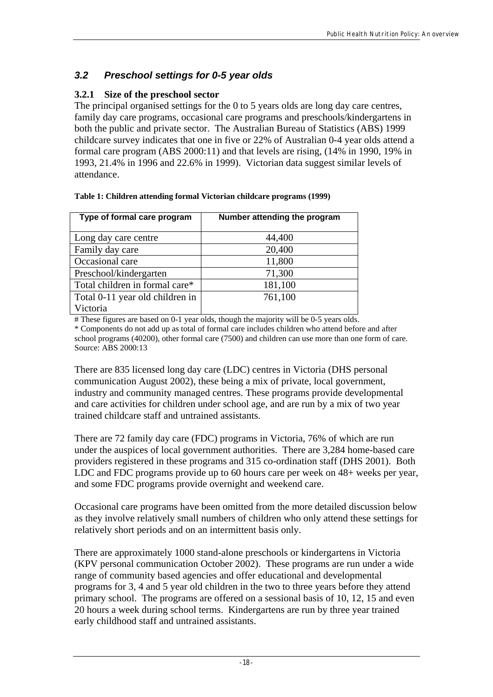## *3.2 Preschool settings for 0-5 year olds*

## **3.2.1 Size of the preschool sector**

The principal organised settings for the 0 to 5 years olds are long day care centres, family day care programs, occasional care programs and preschools/kindergartens in both the public and private sector. The Australian Bureau of Statistics (ABS) 1999 childcare survey indicates that one in five or 22% of Australian 0-4 year olds attend a formal care program (ABS 2000:11) and that levels are rising, (14% in 1990, 19% in 1993, 21.4% in 1996 and 22.6% in 1999). Victorian data suggest similar levels of attendance.

| Type of formal care program     | Number attending the program |
|---------------------------------|------------------------------|
| Long day care centre            | 44,400                       |
| Family day care                 | 20,400                       |
| Occasional care                 | 11,800                       |
| Preschool/kindergarten          | 71,300                       |
| Total children in formal care*  | 181,100                      |
| Total 0-11 year old children in | 761,100                      |
| Victoria                        |                              |

# These figures are based on 0-1 year olds, though the majority will be 0-5 years olds.

\* Components do not add up as total of formal care includes children who attend before and after school programs (40200), other formal care (7500) and children can use more than one form of care. Source: ABS 2000:13

There are 835 licensed long day care (LDC) centres in Victoria (DHS personal communication August 2002), these being a mix of private, local government, industry and community managed centres. These programs provide developmental and care activities for children under school age, and are run by a mix of two year trained childcare staff and untrained assistants.

There are 72 family day care (FDC) programs in Victoria, 76% of which are run under the auspices of local government authorities. There are 3,284 home-based care providers registered in these programs and 315 co-ordination staff (DHS 2001). Both LDC and FDC programs provide up to 60 hours care per week on 48+ weeks per year, and some FDC programs provide overnight and weekend care.

Occasional care programs have been omitted from the more detailed discussion below as they involve relatively small numbers of children who only attend these settings for relatively short periods and on an intermittent basis only.

There are approximately 1000 stand-alone preschools or kindergartens in Victoria (KPV personal communication October 2002). These programs are run under a wide range of community based agencies and offer educational and developmental programs for 3, 4 and 5 year old children in the two to three years before they attend primary school. The programs are offered on a sessional basis of 10, 12, 15 and even 20 hours a week during school terms. Kindergartens are run by three year trained early childhood staff and untrained assistants.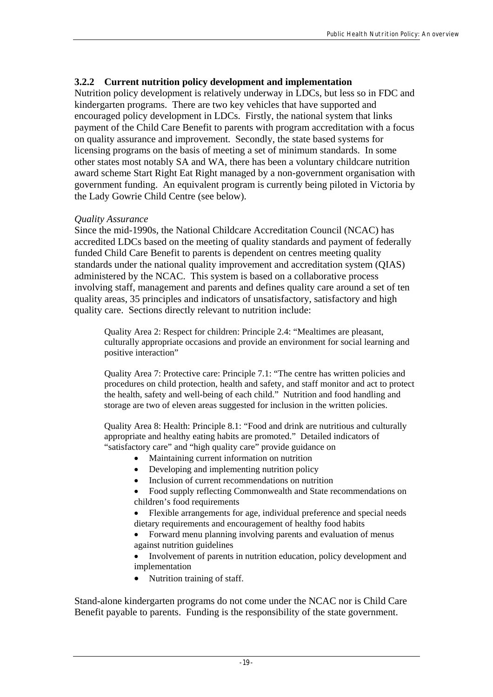## **3.2.2 Current nutrition policy development and implementation**

Nutrition policy development is relatively underway in LDCs, but less so in FDC and kindergarten programs. There are two key vehicles that have supported and encouraged policy development in LDCs. Firstly, the national system that links payment of the Child Care Benefit to parents with program accreditation with a focus on quality assurance and improvement. Secondly, the state based systems for licensing programs on the basis of meeting a set of minimum standards. In some other states most notably SA and WA, there has been a voluntary childcare nutrition award scheme Start Right Eat Right managed by a non-government organisation with government funding. An equivalent program is currently being piloted in Victoria by the Lady Gowrie Child Centre (see below).

#### *Quality Assurance*

Since the mid-1990s, the National Childcare Accreditation Council (NCAC) has accredited LDCs based on the meeting of quality standards and payment of federally funded Child Care Benefit to parents is dependent on centres meeting quality standards under the national quality improvement and accreditation system (QIAS) administered by the NCAC. This system is based on a collaborative process involving staff, management and parents and defines quality care around a set of ten quality areas, 35 principles and indicators of unsatisfactory, satisfactory and high quality care. Sections directly relevant to nutrition include:

Quality Area 2: Respect for children: Principle 2.4: "Mealtimes are pleasant, culturally appropriate occasions and provide an environment for social learning and positive interaction"

Quality Area 7: Protective care: Principle 7.1: "The centre has written policies and procedures on child protection, health and safety, and staff monitor and act to protect the health, safety and well-being of each child." Nutrition and food handling and storage are two of eleven areas suggested for inclusion in the written policies.

Quality Area 8: Health: Principle 8.1: "Food and drink are nutritious and culturally appropriate and healthy eating habits are promoted." Detailed indicators of "satisfactory care" and "high quality care" provide guidance on

- Maintaining current information on nutrition
- Developing and implementing nutrition policy
- Inclusion of current recommendations on nutrition

• Food supply reflecting Commonwealth and State recommendations on children's food requirements

• Flexible arrangements for age, individual preference and special needs dietary requirements and encouragement of healthy food habits

• Forward menu planning involving parents and evaluation of menus against nutrition guidelines

• Involvement of parents in nutrition education, policy development and implementation

• Nutrition training of staff.

Stand-alone kindergarten programs do not come under the NCAC nor is Child Care Benefit payable to parents. Funding is the responsibility of the state government.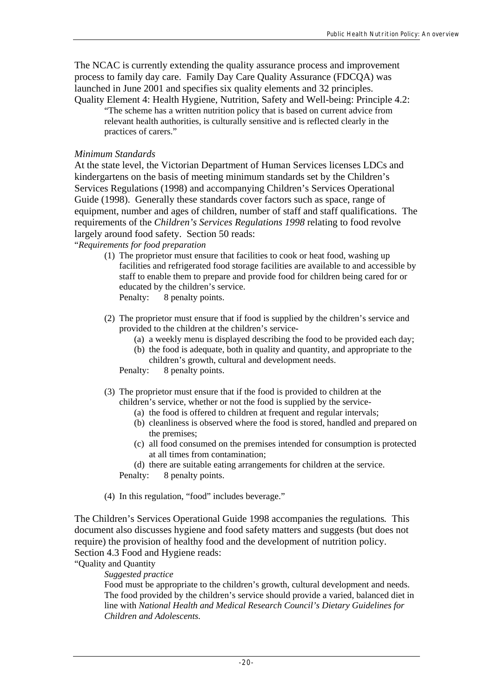The NCAC is currently extending the quality assurance process and improvement process to family day care. Family Day Care Quality Assurance (FDCQA) was launched in June 2001 and specifies six quality elements and 32 principles. Quality Element 4: Health Hygiene, Nutrition, Safety and Well-being: Principle 4.2:

"The scheme has a written nutrition policy that is based on current advice from relevant health authorities, is culturally sensitive and is reflected clearly in the practices of carers."

#### *Minimum Standards*

At the state level, the Victorian Department of Human Services licenses LDCs and kindergartens on the basis of meeting minimum standards set by the Children's Services Regulations (1998) and accompanying Children's Services Operational Guide (1998). Generally these standards cover factors such as space, range of equipment, number and ages of children, number of staff and staff qualifications. The requirements of the *Children's Services Regulations 1998* relating to food revolve largely around food safety. Section 50 reads:

"*Requirements for food preparation* 

- (1) The proprietor must ensure that facilities to cook or heat food, washing up facilities and refrigerated food storage facilities are available to and accessible by staff to enable them to prepare and provide food for children being cared for or educated by the children's service. Penalty: 8 penalty points.
- (2) The proprietor must ensure that if food is supplied by the children's service and provided to the children at the children's service-
	- (a) a weekly menu is displayed describing the food to be provided each day;
	- (b) the food is adequate, both in quality and quantity, and appropriate to the children's growth, cultural and development needs.

Penalty: 8 penalty points.

(3) The proprietor must ensure that if the food is provided to children at the children's service, whether or not the food is supplied by the service-

- (a) the food is offered to children at frequent and regular intervals;
- (b) cleanliness is observed where the food is stored, handled and prepared on the premises;
- (c) all food consumed on the premises intended for consumption is protected at all times from contamination;

(d) there are suitable eating arrangements for children at the service. Penalty: 8 penalty points.

(4) In this regulation, "food" includes beverage."

The Children's Services Operational Guide 1998 accompanies the regulations*.* This document also discusses hygiene and food safety matters and suggests (but does not require) the provision of healthy food and the development of nutrition policy. Section 4.3 Food and Hygiene reads:

"Quality and Quantity

*Suggested practice* 

Food must be appropriate to the children's growth, cultural development and needs. The food provided by the children's service should provide a varied, balanced diet in line with *National Health and Medical Research Council's Dietary Guidelines for Children and Adolescents.*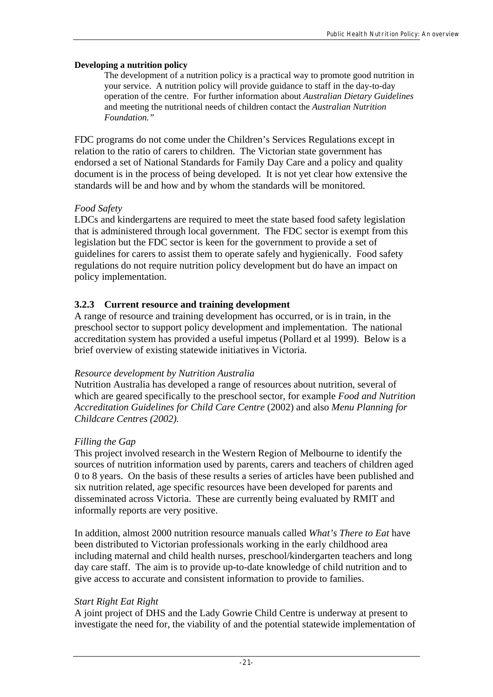#### **Developing a nutrition policy**

The development of a nutrition policy is a practical way to promote good nutrition in your service. A nutrition policy will provide guidance to staff in the day-to-day operation of the centre. For further information about *Australian Dietary Guidelines*  and meeting the nutritional needs of children contact the *Australian Nutrition Foundation."*

FDC programs do not come under the Children's Services Regulations except in relation to the ratio of carers to children. The Victorian state government has endorsed a set of National Standards for Family Day Care and a policy and quality document is in the process of being developed. It is not yet clear how extensive the standards will be and how and by whom the standards will be monitored.

## *Food Safety*

LDCs and kindergartens are required to meet the state based food safety legislation that is administered through local government. The FDC sector is exempt from this legislation but the FDC sector is keen for the government to provide a set of guidelines for carers to assist them to operate safely and hygienically. Food safety regulations do not require nutrition policy development but do have an impact on policy implementation.

## **3.2.3 Current resource and training development**

A range of resource and training development has occurred, or is in train, in the preschool sector to support policy development and implementation. The national accreditation system has provided a useful impetus (Pollard et al 1999). Below is a brief overview of existing statewide initiatives in Victoria.

## *Resource development by Nutrition Australia*

Nutrition Australia has developed a range of resources about nutrition, several of which are geared specifically to the preschool sector, for example *Food and Nutrition Accreditation Guidelines for Child Care Centre* (2002) and also *Menu Planning for Childcare Centres (2002).* 

## *Filling the Gap*

This project involved research in the Western Region of Melbourne to identify the sources of nutrition information used by parents, carers and teachers of children aged 0 to 8 years. On the basis of these results a series of articles have been published and six nutrition related, age specific resources have been developed for parents and disseminated across Victoria. These are currently being evaluated by RMIT and informally reports are very positive.

In addition, almost 2000 nutrition resource manuals called *What's There to Eat* have been distributed to Victorian professionals working in the early childhood area including maternal and child health nurses, preschool/kindergarten teachers and long day care staff. The aim is to provide up-to-date knowledge of child nutrition and to give access to accurate and consistent information to provide to families.

## *Start Right Eat Right*

A joint project of DHS and the Lady Gowrie Child Centre is underway at present to investigate the need for, the viability of and the potential statewide implementation of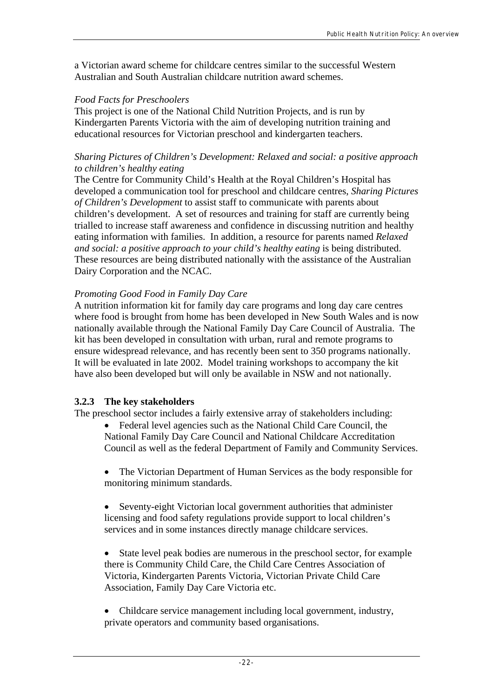a Victorian award scheme for childcare centres similar to the successful Western Australian and South Australian childcare nutrition award schemes.

## *Food Facts for Preschoolers*

This project is one of the National Child Nutrition Projects, and is run by Kindergarten Parents Victoria with the aim of developing nutrition training and educational resources for Victorian preschool and kindergarten teachers.

#### *Sharing Pictures of Children's Development: Relaxed and social: a positive approach to children's healthy eating*

The Centre for Community Child's Health at the Royal Children's Hospital has developed a communication tool for preschool and childcare centres, *Sharing Pictures of Children's Development* to assist staff to communicate with parents about children's development. A set of resources and training for staff are currently being trialled to increase staff awareness and confidence in discussing nutrition and healthy eating information with families. In addition, a resource for parents named *Relaxed and social: a positive approach to your child's healthy eating is being distributed.* These resources are being distributed nationally with the assistance of the Australian Dairy Corporation and the NCAC.

## *Promoting Good Food in Family Day Care*

A nutrition information kit for family day care programs and long day care centres where food is brought from home has been developed in New South Wales and is now nationally available through the National Family Day Care Council of Australia. The kit has been developed in consultation with urban, rural and remote programs to ensure widespread relevance, and has recently been sent to 350 programs nationally. It will be evaluated in late 2002. Model training workshops to accompany the kit have also been developed but will only be available in NSW and not nationally.

## **3.2.3 The key stakeholders**

The preschool sector includes a fairly extensive array of stakeholders including:

- Federal level agencies such as the National Child Care Council, the National Family Day Care Council and National Childcare Accreditation Council as well as the federal Department of Family and Community Services.
- The Victorian Department of Human Services as the body responsible for monitoring minimum standards.
- Seventy-eight Victorian local government authorities that administer licensing and food safety regulations provide support to local children's services and in some instances directly manage childcare services.
- State level peak bodies are numerous in the preschool sector, for example there is Community Child Care, the Child Care Centres Association of Victoria, Kindergarten Parents Victoria, Victorian Private Child Care Association, Family Day Care Victoria etc.
- Childcare service management including local government, industry, private operators and community based organisations.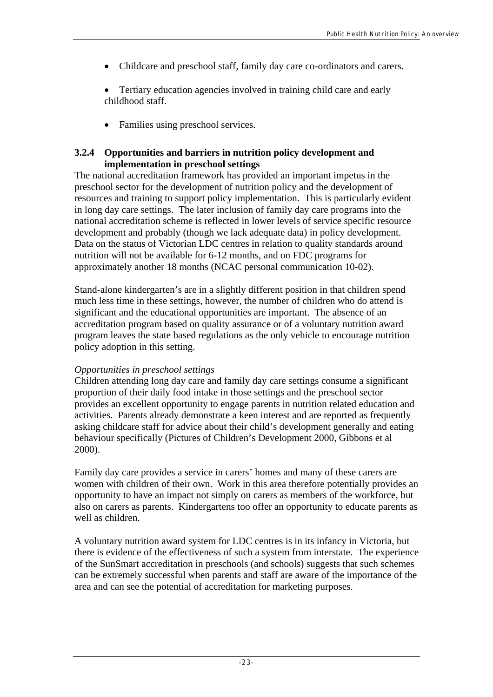- Childcare and preschool staff, family day care co-ordinators and carers.
- Tertiary education agencies involved in training child care and early childhood staff.
- Families using preschool services.

## **3.2.4 Opportunities and barriers in nutrition policy development and implementation in preschool settings**

The national accreditation framework has provided an important impetus in the preschool sector for the development of nutrition policy and the development of resources and training to support policy implementation. This is particularly evident in long day care settings. The later inclusion of family day care programs into the national accreditation scheme is reflected in lower levels of service specific resource development and probably (though we lack adequate data) in policy development. Data on the status of Victorian LDC centres in relation to quality standards around nutrition will not be available for 6-12 months, and on FDC programs for approximately another 18 months (NCAC personal communication 10-02).

Stand-alone kindergarten's are in a slightly different position in that children spend much less time in these settings, however, the number of children who do attend is significant and the educational opportunities are important. The absence of an accreditation program based on quality assurance or of a voluntary nutrition award program leaves the state based regulations as the only vehicle to encourage nutrition policy adoption in this setting.

## *Opportunities in preschool settings*

Children attending long day care and family day care settings consume a significant proportion of their daily food intake in those settings and the preschool sector provides an excellent opportunity to engage parents in nutrition related education and activities. Parents already demonstrate a keen interest and are reported as frequently asking childcare staff for advice about their child's development generally and eating behaviour specifically (Pictures of Children's Development 2000, Gibbons et al 2000).

Family day care provides a service in carers' homes and many of these carers are women with children of their own. Work in this area therefore potentially provides an opportunity to have an impact not simply on carers as members of the workforce, but also on carers as parents. Kindergartens too offer an opportunity to educate parents as well as children.

A voluntary nutrition award system for LDC centres is in its infancy in Victoria, but there is evidence of the effectiveness of such a system from interstate. The experience of the SunSmart accreditation in preschools (and schools) suggests that such schemes can be extremely successful when parents and staff are aware of the importance of the area and can see the potential of accreditation for marketing purposes.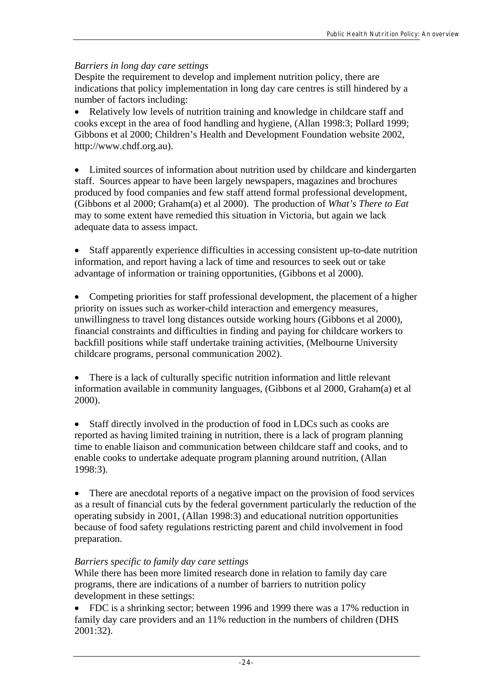## *Barriers in long day care settings*

Despite the requirement to develop and implement nutrition policy, there are indications that policy implementation in long day care centres is still hindered by a number of factors including:

• Relatively low levels of nutrition training and knowledge in childcare staff and cooks except in the area of food handling and hygiene, (Allan 1998:3; Pollard 1999; Gibbons et al 2000; Children's Health and Development Foundation website 2002, http://www.chdf.org.au).

• Limited sources of information about nutrition used by childcare and kindergarten staff. Sources appear to have been largely newspapers, magazines and brochures produced by food companies and few staff attend formal professional development, (Gibbons et al 2000; Graham(a) et al 2000). The production of *What's There to Eat* may to some extent have remedied this situation in Victoria, but again we lack adequate data to assess impact.

• Staff apparently experience difficulties in accessing consistent up-to-date nutrition information, and report having a lack of time and resources to seek out or take advantage of information or training opportunities, (Gibbons et al 2000).

• Competing priorities for staff professional development, the placement of a higher priority on issues such as worker-child interaction and emergency measures, unwillingness to travel long distances outside working hours (Gibbons et al 2000), financial constraints and difficulties in finding and paying for childcare workers to backfill positions while staff undertake training activities, (Melbourne University childcare programs, personal communication 2002).

• There is a lack of culturally specific nutrition information and little relevant information available in community languages, (Gibbons et al 2000, Graham(a) et al 2000).

• Staff directly involved in the production of food in LDCs such as cooks are reported as having limited training in nutrition, there is a lack of program planning time to enable liaison and communication between childcare staff and cooks, and to enable cooks to undertake adequate program planning around nutrition, (Allan 1998:3).

• There are anecdotal reports of a negative impact on the provision of food services as a result of financial cuts by the federal government particularly the reduction of the operating subsidy in 2001, (Allan 1998:3) and educational nutrition opportunities because of food safety regulations restricting parent and child involvement in food preparation.

## *Barriers specific to family day care settings*

While there has been more limited research done in relation to family day care programs, there are indications of a number of barriers to nutrition policy development in these settings:

• FDC is a shrinking sector; between 1996 and 1999 there was a 17% reduction in family day care providers and an 11% reduction in the numbers of children (DHS 2001:32).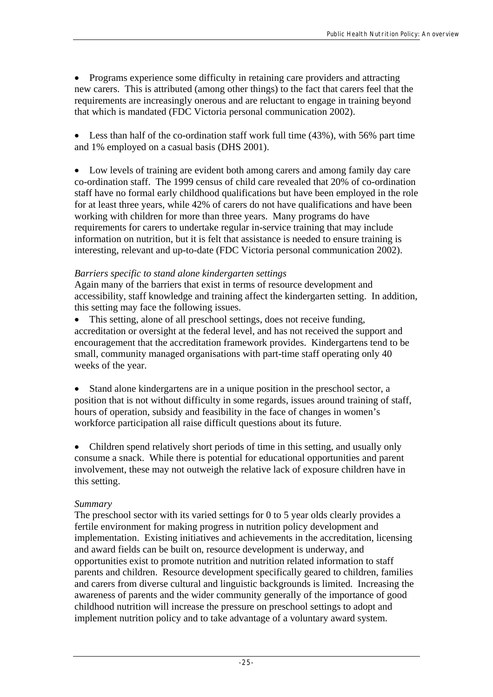• Programs experience some difficulty in retaining care providers and attracting new carers. This is attributed (among other things) to the fact that carers feel that the requirements are increasingly onerous and are reluctant to engage in training beyond that which is mandated (FDC Victoria personal communication 2002).

• Less than half of the co-ordination staff work full time (43%), with 56% part time and 1% employed on a casual basis (DHS 2001).

• Low levels of training are evident both among carers and among family day care co-ordination staff. The 1999 census of child care revealed that 20% of co-ordination staff have no formal early childhood qualifications but have been employed in the role for at least three years, while 42% of carers do not have qualifications and have been working with children for more than three years. Many programs do have requirements for carers to undertake regular in-service training that may include information on nutrition, but it is felt that assistance is needed to ensure training is interesting, relevant and up-to-date (FDC Victoria personal communication 2002).

## *Barriers specific to stand alone kindergarten settings*

Again many of the barriers that exist in terms of resource development and accessibility, staff knowledge and training affect the kindergarten setting. In addition, this setting may face the following issues.

• This setting, alone of all preschool settings, does not receive funding, accreditation or oversight at the federal level, and has not received the support and encouragement that the accreditation framework provides. Kindergartens tend to be small, community managed organisations with part-time staff operating only 40 weeks of the year.

• Stand alone kindergartens are in a unique position in the preschool sector, a position that is not without difficulty in some regards, issues around training of staff, hours of operation, subsidy and feasibility in the face of changes in women's workforce participation all raise difficult questions about its future.

• Children spend relatively short periods of time in this setting, and usually only consume a snack. While there is potential for educational opportunities and parent involvement, these may not outweigh the relative lack of exposure children have in this setting.

## *Summary*

The preschool sector with its varied settings for 0 to 5 year olds clearly provides a fertile environment for making progress in nutrition policy development and implementation. Existing initiatives and achievements in the accreditation, licensing and award fields can be built on, resource development is underway, and opportunities exist to promote nutrition and nutrition related information to staff parents and children. Resource development specifically geared to children, families and carers from diverse cultural and linguistic backgrounds is limited. Increasing the awareness of parents and the wider community generally of the importance of good childhood nutrition will increase the pressure on preschool settings to adopt and implement nutrition policy and to take advantage of a voluntary award system.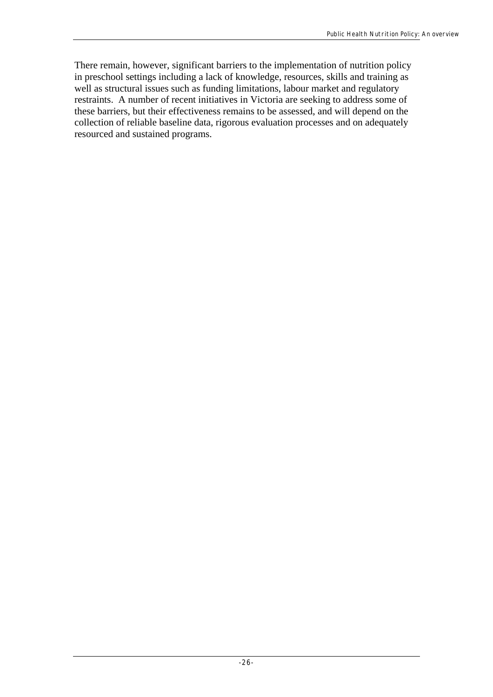There remain, however, significant barriers to the implementation of nutrition policy in preschool settings including a lack of knowledge, resources, skills and training as well as structural issues such as funding limitations, labour market and regulatory restraints. A number of recent initiatives in Victoria are seeking to address some of these barriers, but their effectiveness remains to be assessed, and will depend on the collection of reliable baseline data, rigorous evaluation processes and on adequately resourced and sustained programs.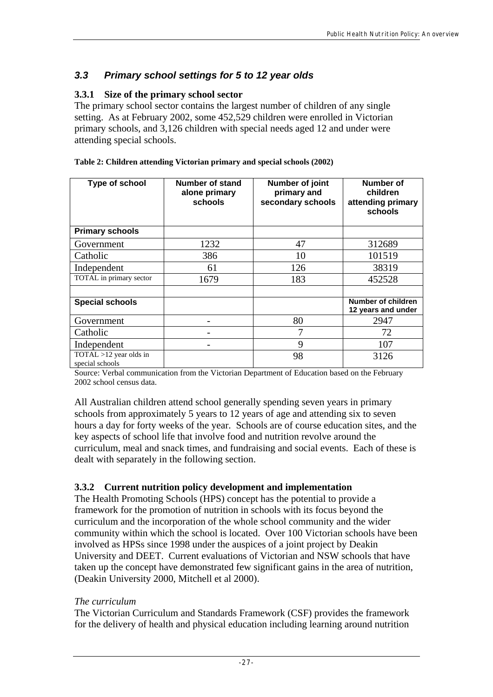## *3.3 Primary school settings for 5 to 12 year olds*

## **3.3.1 Size of the primary school sector**

The primary school sector contains the largest number of children of any single setting. As at February 2002, some 452,529 children were enrolled in Victorian primary schools, and 3,126 children with special needs aged 12 and under were attending special schools.

| Type of school                               | Number of stand<br>alone primary<br>schools | Number of joint<br>primary and<br>secondary schools | Number of<br>children<br>attending primary<br>schools |
|----------------------------------------------|---------------------------------------------|-----------------------------------------------------|-------------------------------------------------------|
| <b>Primary schools</b>                       |                                             |                                                     |                                                       |
| Government                                   | 1232                                        | 47                                                  | 312689                                                |
| Catholic                                     | 386                                         | 10                                                  | 101519                                                |
| Independent                                  | 61                                          | 126                                                 | 38319                                                 |
| TOTAL in primary sector                      | 1679                                        | 183                                                 | 452528                                                |
|                                              |                                             |                                                     |                                                       |
| <b>Special schools</b>                       |                                             |                                                     | Number of children<br>12 years and under              |
| Government                                   |                                             | 80                                                  | 2947                                                  |
| Catholic                                     |                                             | 7                                                   | 72                                                    |
| Independent                                  |                                             | 9                                                   | 107                                                   |
| $TOTAL > 12$ year olds in<br>special schools |                                             | 98                                                  | 3126                                                  |

**Table 2: Children attending Victorian primary and special schools (2002)**

Source: Verbal communication from the Victorian Department of Education based on the February 2002 school census data.

All Australian children attend school generally spending seven years in primary schools from approximately 5 years to 12 years of age and attending six to seven hours a day for forty weeks of the year. Schools are of course education sites, and the key aspects of school life that involve food and nutrition revolve around the curriculum, meal and snack times, and fundraising and social events. Each of these is dealt with separately in the following section.

## **3.3.2 Current nutrition policy development and implementation**

The Health Promoting Schools (HPS) concept has the potential to provide a framework for the promotion of nutrition in schools with its focus beyond the curriculum and the incorporation of the whole school community and the wider community within which the school is located. Over 100 Victorian schools have been involved as HPSs since 1998 under the auspices of a joint project by Deakin University and DEET. Current evaluations of Victorian and NSW schools that have taken up the concept have demonstrated few significant gains in the area of nutrition, (Deakin University 2000, Mitchell et al 2000).

## *The curriculum*

The Victorian Curriculum and Standards Framework (CSF) provides the framework for the delivery of health and physical education including learning around nutrition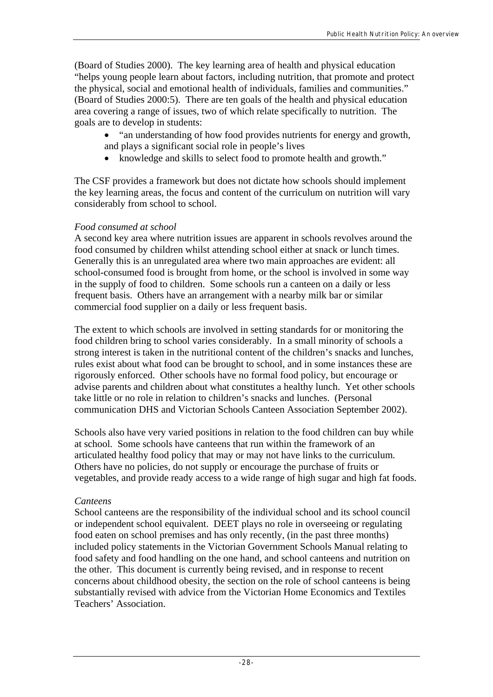(Board of Studies 2000). The key learning area of health and physical education "helps young people learn about factors, including nutrition, that promote and protect the physical, social and emotional health of individuals, families and communities." (Board of Studies 2000:5). There are ten goals of the health and physical education area covering a range of issues, two of which relate specifically to nutrition. The goals are to develop in students:

- "an understanding of how food provides nutrients for energy and growth, and plays a significant social role in people's lives
- knowledge and skills to select food to promote health and growth."

The CSF provides a framework but does not dictate how schools should implement the key learning areas, the focus and content of the curriculum on nutrition will vary considerably from school to school.

## *Food consumed at school*

A second key area where nutrition issues are apparent in schools revolves around the food consumed by children whilst attending school either at snack or lunch times. Generally this is an unregulated area where two main approaches are evident: all school-consumed food is brought from home, or the school is involved in some way in the supply of food to children. Some schools run a canteen on a daily or less frequent basis. Others have an arrangement with a nearby milk bar or similar commercial food supplier on a daily or less frequent basis.

The extent to which schools are involved in setting standards for or monitoring the food children bring to school varies considerably. In a small minority of schools a strong interest is taken in the nutritional content of the children's snacks and lunches, rules exist about what food can be brought to school, and in some instances these are rigorously enforced. Other schools have no formal food policy, but encourage or advise parents and children about what constitutes a healthy lunch. Yet other schools take little or no role in relation to children's snacks and lunches. (Personal communication DHS and Victorian Schools Canteen Association September 2002).

Schools also have very varied positions in relation to the food children can buy while at school. Some schools have canteens that run within the framework of an articulated healthy food policy that may or may not have links to the curriculum. Others have no policies, do not supply or encourage the purchase of fruits or vegetables, and provide ready access to a wide range of high sugar and high fat foods.

## *Canteens*

School canteens are the responsibility of the individual school and its school council or independent school equivalent. DEET plays no role in overseeing or regulating food eaten on school premises and has only recently, (in the past three months) included policy statements in the Victorian Government Schools Manual relating to food safety and food handling on the one hand, and school canteens and nutrition on the other. This document is currently being revised, and in response to recent concerns about childhood obesity, the section on the role of school canteens is being substantially revised with advice from the Victorian Home Economics and Textiles Teachers' Association.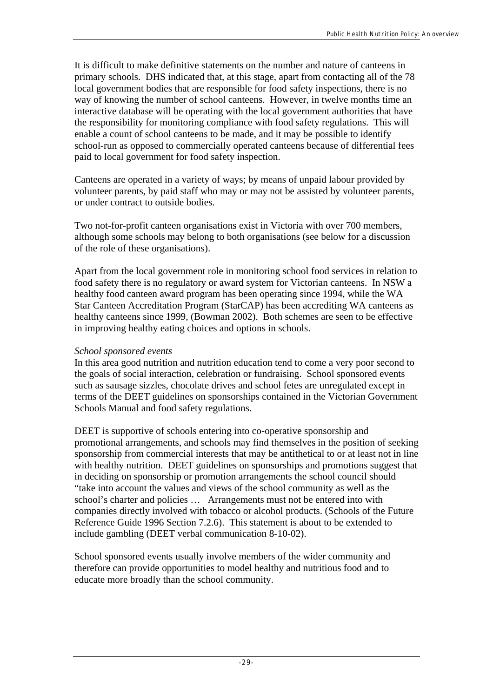It is difficult to make definitive statements on the number and nature of canteens in primary schools. DHS indicated that, at this stage, apart from contacting all of the 78 local government bodies that are responsible for food safety inspections, there is no way of knowing the number of school canteens. However, in twelve months time an interactive database will be operating with the local government authorities that have the responsibility for monitoring compliance with food safety regulations. This will enable a count of school canteens to be made, and it may be possible to identify school-run as opposed to commercially operated canteens because of differential fees paid to local government for food safety inspection.

Canteens are operated in a variety of ways; by means of unpaid labour provided by volunteer parents, by paid staff who may or may not be assisted by volunteer parents, or under contract to outside bodies.

Two not-for-profit canteen organisations exist in Victoria with over 700 members, although some schools may belong to both organisations (see below for a discussion of the role of these organisations).

Apart from the local government role in monitoring school food services in relation to food safety there is no regulatory or award system for Victorian canteens. In NSW a healthy food canteen award program has been operating since 1994, while the WA Star Canteen Accreditation Program (StarCAP) has been accrediting WA canteens as healthy canteens since 1999, (Bowman 2002). Both schemes are seen to be effective in improving healthy eating choices and options in schools.

#### *School sponsored events*

In this area good nutrition and nutrition education tend to come a very poor second to the goals of social interaction, celebration or fundraising. School sponsored events such as sausage sizzles, chocolate drives and school fetes are unregulated except in terms of the DEET guidelines on sponsorships contained in the Victorian Government Schools Manual and food safety regulations.

DEET is supportive of schools entering into co-operative sponsorship and promotional arrangements, and schools may find themselves in the position of seeking sponsorship from commercial interests that may be antithetical to or at least not in line with healthy nutrition. DEET guidelines on sponsorships and promotions suggest that in deciding on sponsorship or promotion arrangements the school council should "take into account the values and views of the school community as well as the school's charter and policies … Arrangements must not be entered into with companies directly involved with tobacco or alcohol products. (Schools of the Future Reference Guide 1996 Section 7.2.6). This statement is about to be extended to include gambling (DEET verbal communication 8-10-02).

School sponsored events usually involve members of the wider community and therefore can provide opportunities to model healthy and nutritious food and to educate more broadly than the school community.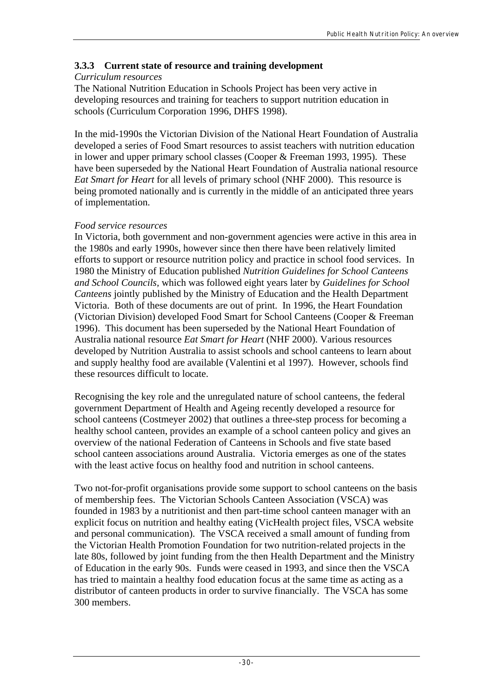## **3.3.3 Current state of resource and training development**

## *Curriculum resources*

The National Nutrition Education in Schools Project has been very active in developing resources and training for teachers to support nutrition education in schools (Curriculum Corporation 1996, DHFS 1998).

In the mid-1990s the Victorian Division of the National Heart Foundation of Australia developed a series of Food Smart resources to assist teachers with nutrition education in lower and upper primary school classes (Cooper & Freeman 1993, 1995). These have been superseded by the National Heart Foundation of Australia national resource *Eat Smart for Heart* for all levels of primary school (NHF 2000). This resource is being promoted nationally and is currently in the middle of an anticipated three years of implementation.

## *Food service resources*

In Victoria, both government and non-government agencies were active in this area in the 1980s and early 1990s, however since then there have been relatively limited efforts to support or resource nutrition policy and practice in school food services. In 1980 the Ministry of Education published *Nutrition Guidelines for School Canteens and School Councils,* which was followed eight years later by *Guidelines for School Canteens* jointly published by the Ministry of Education and the Health Department Victoria. Both of these documents are out of print. In 1996, the Heart Foundation (Victorian Division) developed Food Smart for School Canteens (Cooper & Freeman 1996). This document has been superseded by the National Heart Foundation of Australia national resource *Eat Smart for Heart* (NHF 2000). Various resources developed by Nutrition Australia to assist schools and school canteens to learn about and supply healthy food are available (Valentini et al 1997). However, schools find these resources difficult to locate.

Recognising the key role and the unregulated nature of school canteens, the federal government Department of Health and Ageing recently developed a resource for school canteens (Costmeyer 2002) that outlines a three-step process for becoming a healthy school canteen, provides an example of a school canteen policy and gives an overview of the national Federation of Canteens in Schools and five state based school canteen associations around Australia. Victoria emerges as one of the states with the least active focus on healthy food and nutrition in school canteens.

Two not-for-profit organisations provide some support to school canteens on the basis of membership fees. The Victorian Schools Canteen Association (VSCA) was founded in 1983 by a nutritionist and then part-time school canteen manager with an explicit focus on nutrition and healthy eating (VicHealth project files, VSCA website and personal communication). The VSCA received a small amount of funding from the Victorian Health Promotion Foundation for two nutrition-related projects in the late 80s, followed by joint funding from the then Health Department and the Ministry of Education in the early 90s. Funds were ceased in 1993, and since then the VSCA has tried to maintain a healthy food education focus at the same time as acting as a distributor of canteen products in order to survive financially. The VSCA has some 300 members.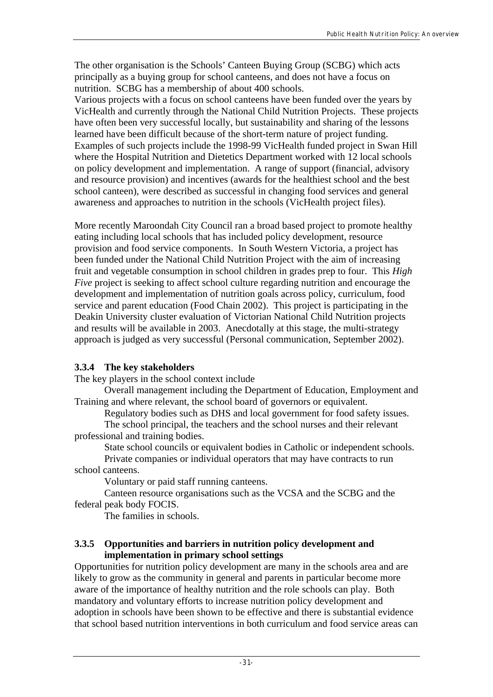The other organisation is the Schools' Canteen Buying Group (SCBG) which acts principally as a buying group for school canteens, and does not have a focus on nutrition. SCBG has a membership of about 400 schools.

Various projects with a focus on school canteens have been funded over the years by VicHealth and currently through the National Child Nutrition Projects. These projects have often been very successful locally, but sustainability and sharing of the lessons learned have been difficult because of the short-term nature of project funding. Examples of such projects include the 1998-99 VicHealth funded project in Swan Hill where the Hospital Nutrition and Dietetics Department worked with 12 local schools on policy development and implementation. A range of support (financial, advisory and resource provision) and incentives (awards for the healthiest school and the best school canteen), were described as successful in changing food services and general awareness and approaches to nutrition in the schools (VicHealth project files).

More recently Maroondah City Council ran a broad based project to promote healthy eating including local schools that has included policy development, resource provision and food service components. In South Western Victoria, a project has been funded under the National Child Nutrition Project with the aim of increasing fruit and vegetable consumption in school children in grades prep to four. This *High Five* project is seeking to affect school culture regarding nutrition and encourage the development and implementation of nutrition goals across policy, curriculum, food service and parent education (Food Chain 2002). This project is participating in the Deakin University cluster evaluation of Victorian National Child Nutrition projects and results will be available in 2003. Anecdotally at this stage, the multi-strategy approach is judged as very successful (Personal communication, September 2002).

## **3.3.4 The key stakeholders**

The key players in the school context include

Overall management including the Department of Education, Employment and Training and where relevant, the school board of governors or equivalent.

Regulatory bodies such as DHS and local government for food safety issues.

The school principal, the teachers and the school nurses and their relevant professional and training bodies.

State school councils or equivalent bodies in Catholic or independent schools.

Private companies or individual operators that may have contracts to run school canteens.

Voluntary or paid staff running canteens.

Canteen resource organisations such as the VCSA and the SCBG and the federal peak body FOCIS.

The families in schools.

#### **3.3.5 Opportunities and barriers in nutrition policy development and implementation in primary school settings**

Opportunities for nutrition policy development are many in the schools area and are likely to grow as the community in general and parents in particular become more aware of the importance of healthy nutrition and the role schools can play. Both mandatory and voluntary efforts to increase nutrition policy development and adoption in schools have been shown to be effective and there is substantial evidence that school based nutrition interventions in both curriculum and food service areas can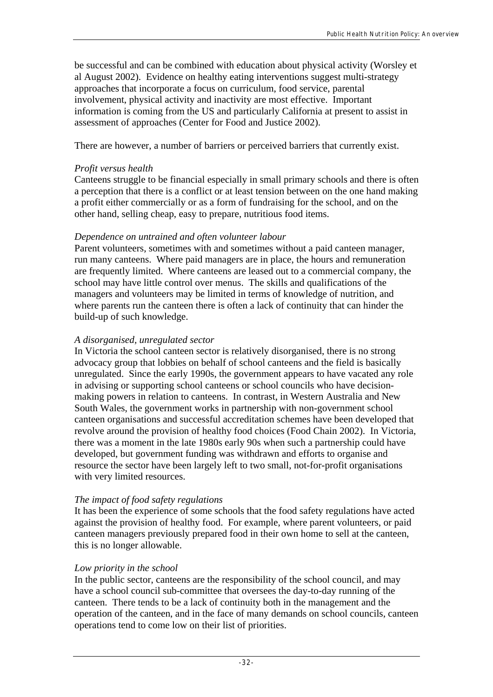be successful and can be combined with education about physical activity (Worsley et al August 2002). Evidence on healthy eating interventions suggest multi-strategy approaches that incorporate a focus on curriculum, food service, parental involvement, physical activity and inactivity are most effective. Important information is coming from the US and particularly California at present to assist in assessment of approaches (Center for Food and Justice 2002).

There are however, a number of barriers or perceived barriers that currently exist.

### *Profit versus health*

Canteens struggle to be financial especially in small primary schools and there is often a perception that there is a conflict or at least tension between on the one hand making a profit either commercially or as a form of fundraising for the school, and on the other hand, selling cheap, easy to prepare, nutritious food items.

## *Dependence on untrained and often volunteer labour*

Parent volunteers, sometimes with and sometimes without a paid canteen manager, run many canteens. Where paid managers are in place, the hours and remuneration are frequently limited. Where canteens are leased out to a commercial company, the school may have little control over menus. The skills and qualifications of the managers and volunteers may be limited in terms of knowledge of nutrition, and where parents run the canteen there is often a lack of continuity that can hinder the build-up of such knowledge.

#### *A disorganised, unregulated sector*

In Victoria the school canteen sector is relatively disorganised, there is no strong advocacy group that lobbies on behalf of school canteens and the field is basically unregulated. Since the early 1990s, the government appears to have vacated any role in advising or supporting school canteens or school councils who have decisionmaking powers in relation to canteens. In contrast, in Western Australia and New South Wales, the government works in partnership with non-government school canteen organisations and successful accreditation schemes have been developed that revolve around the provision of healthy food choices (Food Chain 2002). In Victoria, there was a moment in the late 1980s early 90s when such a partnership could have developed, but government funding was withdrawn and efforts to organise and resource the sector have been largely left to two small, not-for-profit organisations with very limited resources.

## *The impact of food safety regulations*

It has been the experience of some schools that the food safety regulations have acted against the provision of healthy food. For example, where parent volunteers, or paid canteen managers previously prepared food in their own home to sell at the canteen, this is no longer allowable.

## *Low priority in the school*

In the public sector, canteens are the responsibility of the school council, and may have a school council sub-committee that oversees the day-to-day running of the canteen. There tends to be a lack of continuity both in the management and the operation of the canteen, and in the face of many demands on school councils, canteen operations tend to come low on their list of priorities.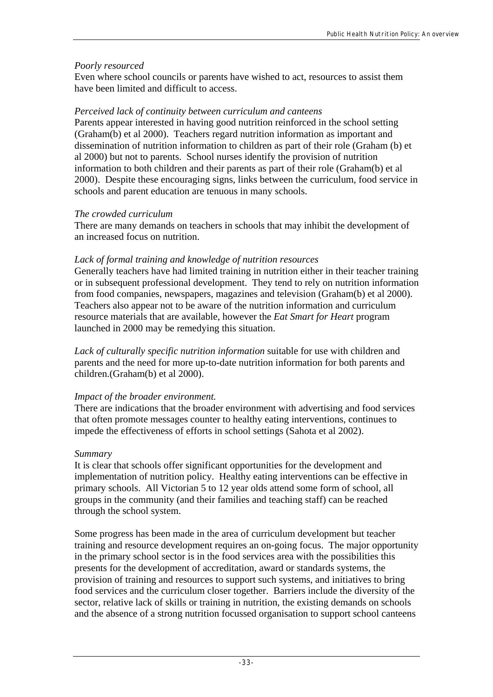#### *Poorly resourced*

Even where school councils or parents have wished to act, resources to assist them have been limited and difficult to access.

#### *Perceived lack of continuity between curriculum and canteens*

Parents appear interested in having good nutrition reinforced in the school setting (Graham(b) et al 2000). Teachers regard nutrition information as important and dissemination of nutrition information to children as part of their role (Graham (b) et al 2000) but not to parents. School nurses identify the provision of nutrition information to both children and their parents as part of their role (Graham(b) et al 2000). Despite these encouraging signs, links between the curriculum, food service in schools and parent education are tenuous in many schools.

#### *The crowded curriculum*

There are many demands on teachers in schools that may inhibit the development of an increased focus on nutrition.

#### *Lack of formal training and knowledge of nutrition resources*

Generally teachers have had limited training in nutrition either in their teacher training or in subsequent professional development. They tend to rely on nutrition information from food companies, newspapers, magazines and television (Graham(b) et al 2000). Teachers also appear not to be aware of the nutrition information and curriculum resource materials that are available, however the *Eat Smart for Heart* program launched in 2000 may be remedying this situation.

*Lack of culturally specific nutrition information* suitable for use with children and parents and the need for more up-to-date nutrition information for both parents and children.(Graham(b) et al 2000).

#### *Impact of the broader environment.*

There are indications that the broader environment with advertising and food services that often promote messages counter to healthy eating interventions, continues to impede the effectiveness of efforts in school settings (Sahota et al 2002).

#### *Summary*

It is clear that schools offer significant opportunities for the development and implementation of nutrition policy. Healthy eating interventions can be effective in primary schools. All Victorian 5 to 12 year olds attend some form of school, all groups in the community (and their families and teaching staff) can be reached through the school system.

Some progress has been made in the area of curriculum development but teacher training and resource development requires an on-going focus. The major opportunity in the primary school sector is in the food services area with the possibilities this presents for the development of accreditation, award or standards systems, the provision of training and resources to support such systems, and initiatives to bring food services and the curriculum closer together. Barriers include the diversity of the sector, relative lack of skills or training in nutrition, the existing demands on schools and the absence of a strong nutrition focussed organisation to support school canteens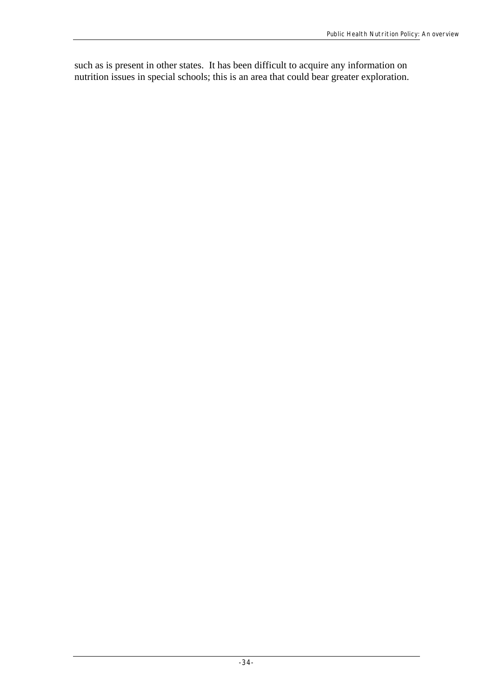such as is present in other states. It has been difficult to acquire any information on nutrition issues in special schools; this is an area that could bear greater exploration.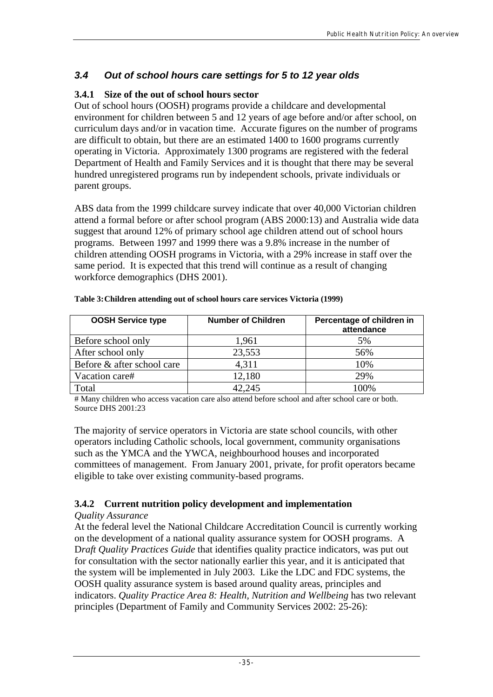## *3.4 Out of school hours care settings for 5 to 12 year olds*

## **3.4.1 Size of the out of school hours sector**

Out of school hours (OOSH) programs provide a childcare and developmental environment for children between 5 and 12 years of age before and/or after school, on curriculum days and/or in vacation time. Accurate figures on the number of programs are difficult to obtain, but there are an estimated 1400 to 1600 programs currently operating in Victoria. Approximately 1300 programs are registered with the federal Department of Health and Family Services and it is thought that there may be several hundred unregistered programs run by independent schools, private individuals or parent groups.

ABS data from the 1999 childcare survey indicate that over 40,000 Victorian children attend a formal before or after school program (ABS 2000:13) and Australia wide data suggest that around 12% of primary school age children attend out of school hours programs. Between 1997 and 1999 there was a 9.8% increase in the number of children attending OOSH programs in Victoria, with a 29% increase in staff over the same period. It is expected that this trend will continue as a result of changing workforce demographics (DHS 2001).

| <b>OOSH Service type</b>   | <b>Number of Children</b> | Percentage of children in<br>attendance |
|----------------------------|---------------------------|-----------------------------------------|
| Before school only         | 1,961                     | 5%                                      |
| After school only          | 23,553                    | 56%                                     |
| Before & after school care | 4,311                     | 10%                                     |
| Vacation care#             | 12,180                    | 29%                                     |
| Total                      | 42,245                    | 100%                                    |

| Table 3: Children attending out of school hours care services Victoria (1999) |  |  |
|-------------------------------------------------------------------------------|--|--|
|                                                                               |  |  |

# Many children who access vacation care also attend before school and after school care or both. Source DHS 2001:23

The majority of service operators in Victoria are state school councils, with other operators including Catholic schools, local government, community organisations such as the YMCA and the YWCA, neighbourhood houses and incorporated committees of management. From January 2001, private, for profit operators became eligible to take over existing community-based programs.

## **3.4.2 Current nutrition policy development and implementation**

## *Quality Assurance*

At the federal level the National Childcare Accreditation Council is currently working on the development of a national quality assurance system for OOSH programs. A D*raft Quality Practices Guide* that identifies quality practice indicators, was put out for consultation with the sector nationally earlier this year, and it is anticipated that the system will be implemented in July 2003. Like the LDC and FDC systems, the OOSH quality assurance system is based around quality areas, principles and indicators. *Quality Practice Area 8: Health, Nutrition and Wellbeing* has two relevant principles (Department of Family and Community Services 2002: 25-26):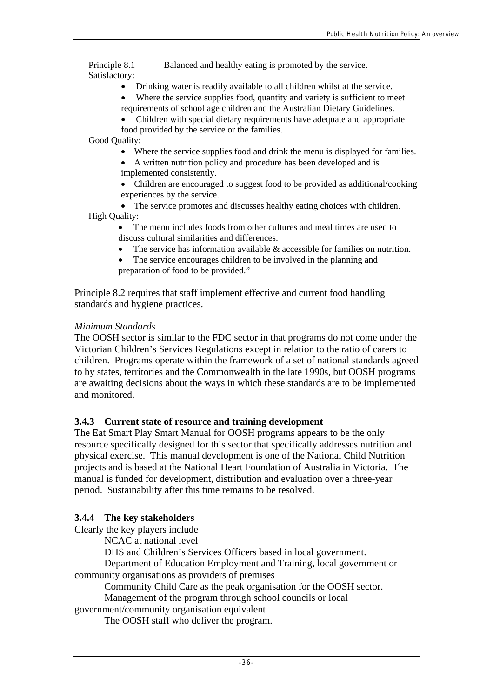Principle 8.1 Balanced and healthy eating is promoted by the service. Satisfactory:

- Drinking water is readily available to all children whilst at the service.
- Where the service supplies food, quantity and variety is sufficient to meet requirements of school age children and the Australian Dietary Guidelines.
- Children with special dietary requirements have adequate and appropriate food provided by the service or the families.

Good Quality:

- Where the service supplies food and drink the menu is displayed for families.
- A written nutrition policy and procedure has been developed and is implemented consistently.
- Children are encouraged to suggest food to be provided as additional/cooking experiences by the service.
- The service promotes and discusses healthy eating choices with children. High Quality:
	- The menu includes foods from other cultures and meal times are used to discuss cultural similarities and differences.
		- The service has information available  $\&$  accessible for families on nutrition.
	- The service encourages children to be involved in the planning and preparation of food to be provided."

Principle 8.2 requires that staff implement effective and current food handling standards and hygiene practices.

#### *Minimum Standards*

The OOSH sector is similar to the FDC sector in that programs do not come under the Victorian Children's Services Regulations except in relation to the ratio of carers to children. Programs operate within the framework of a set of national standards agreed to by states, territories and the Commonwealth in the late 1990s, but OOSH programs are awaiting decisions about the ways in which these standards are to be implemented and monitored.

#### **3.4.3 Current state of resource and training development**

The Eat Smart Play Smart Manual for OOSH programs appears to be the only resource specifically designed for this sector that specifically addresses nutrition and physical exercise. This manual development is one of the National Child Nutrition projects and is based at the National Heart Foundation of Australia in Victoria. The manual is funded for development, distribution and evaluation over a three-year period. Sustainability after this time remains to be resolved.

#### **3.4.4 The key stakeholders**

Clearly the key players include

NCAC at national level

DHS and Children's Services Officers based in local government.

Department of Education Employment and Training, local government or community organisations as providers of premises

Community Child Care as the peak organisation for the OOSH sector.

Management of the program through school councils or local

government/community organisation equivalent

The OOSH staff who deliver the program.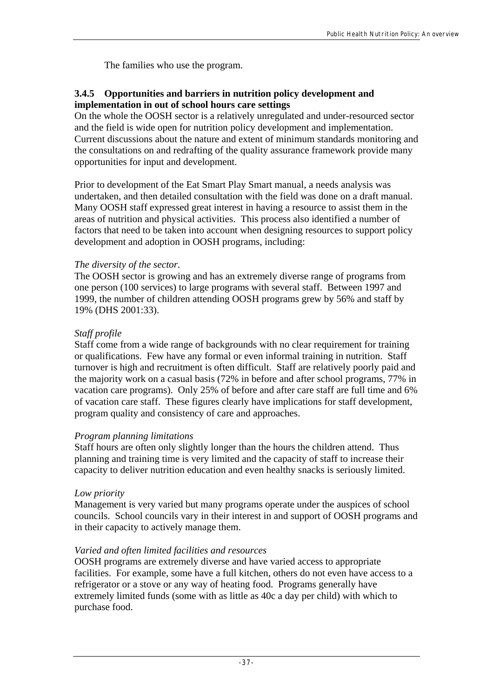The families who use the program.

## **3.4.5 Opportunities and barriers in nutrition policy development and implementation in out of school hours care settings**

On the whole the OOSH sector is a relatively unregulated and under-resourced sector and the field is wide open for nutrition policy development and implementation. Current discussions about the nature and extent of minimum standards monitoring and the consultations on and redrafting of the quality assurance framework provide many opportunities for input and development.

Prior to development of the Eat Smart Play Smart manual, a needs analysis was undertaken, and then detailed consultation with the field was done on a draft manual. Many OOSH staff expressed great interest in having a resource to assist them in the areas of nutrition and physical activities. This process also identified a number of factors that need to be taken into account when designing resources to support policy development and adoption in OOSH programs, including:

## *The diversity of the sector.*

The OOSH sector is growing and has an extremely diverse range of programs from one person (100 services) to large programs with several staff. Between 1997 and 1999, the number of children attending OOSH programs grew by 56% and staff by 19% (DHS 2001:33).

## *Staff profile*

Staff come from a wide range of backgrounds with no clear requirement for training or qualifications. Few have any formal or even informal training in nutrition. Staff turnover is high and recruitment is often difficult. Staff are relatively poorly paid and the majority work on a casual basis (72% in before and after school programs, 77% in vacation care programs). Only 25% of before and after care staff are full time and 6% of vacation care staff. These figures clearly have implications for staff development, program quality and consistency of care and approaches.

## *Program planning limitations*

Staff hours are often only slightly longer than the hours the children attend. Thus planning and training time is very limited and the capacity of staff to increase their capacity to deliver nutrition education and even healthy snacks is seriously limited.

## *Low priority*

Management is very varied but many programs operate under the auspices of school councils. School councils vary in their interest in and support of OOSH programs and in their capacity to actively manage them.

## *Varied and often limited facilities and resources*

OOSH programs are extremely diverse and have varied access to appropriate facilities. For example, some have a full kitchen, others do not even have access to a refrigerator or a stove or any way of heating food. Programs generally have extremely limited funds (some with as little as 40c a day per child) with which to purchase food.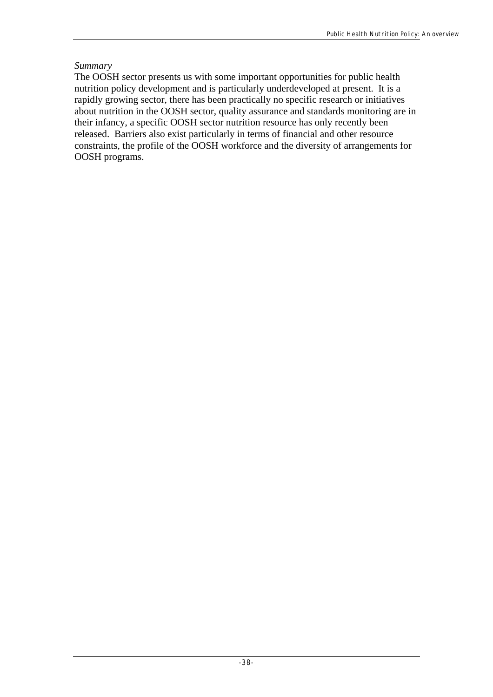## *Summary*

The OOSH sector presents us with some important opportunities for public health nutrition policy development and is particularly underdeveloped at present. It is a rapidly growing sector, there has been practically no specific research or initiatives about nutrition in the OOSH sector, quality assurance and standards monitoring are in their infancy, a specific OOSH sector nutrition resource has only recently been released. Barriers also exist particularly in terms of financial and other resource constraints, the profile of the OOSH workforce and the diversity of arrangements for OOSH programs.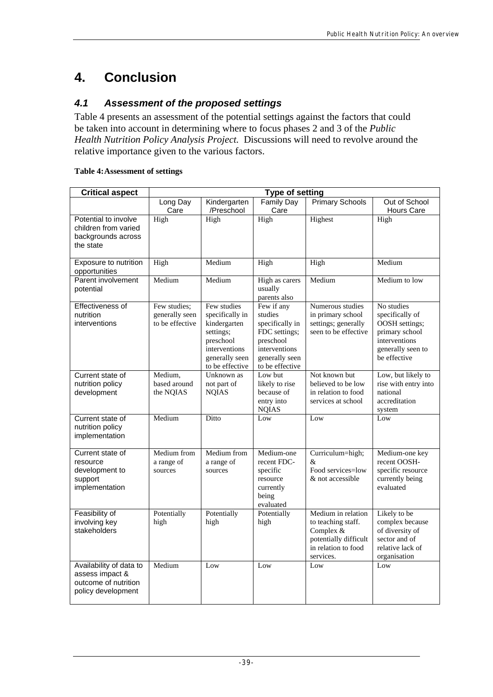# **4. Conclusion**

## *4.1 Assessment of the proposed settings*

Table 4 presents an assessment of the potential settings against the factors that could be taken into account in determining where to focus phases 2 and 3 of the *Public Health Nutrition Policy Analysis Project.* Discussions will need to revolve around the relative importance given to the various factors.

#### **Table 4: Assessment of settings**

| <b>Critical aspect</b>                                                                   | <b>Type of setting</b>                            |                                                                                                                                |                                                                                                                              |                                                                                                                    |                                                                                                                         |
|------------------------------------------------------------------------------------------|---------------------------------------------------|--------------------------------------------------------------------------------------------------------------------------------|------------------------------------------------------------------------------------------------------------------------------|--------------------------------------------------------------------------------------------------------------------|-------------------------------------------------------------------------------------------------------------------------|
|                                                                                          | Long Day<br>Care                                  | Kindergarten<br>/Preschool                                                                                                     | <b>Family Day</b><br>Care                                                                                                    | <b>Primary Schools</b>                                                                                             | Out of School<br><b>Hours Care</b>                                                                                      |
| Potential to involve<br>children from varied<br>backgrounds across<br>the state          | High                                              | High                                                                                                                           | High                                                                                                                         | Highest                                                                                                            | High                                                                                                                    |
| Exposure to nutrition<br>opportunities                                                   | High                                              | Medium                                                                                                                         | High                                                                                                                         | High                                                                                                               | Medium                                                                                                                  |
| Parent involvement<br>potential                                                          | Medium                                            | Medium                                                                                                                         | High as carers<br>usually<br>parents also                                                                                    | Medium                                                                                                             | Medium to low                                                                                                           |
| Effectiveness of<br>nutrition<br>interventions                                           | Few studies;<br>generally seen<br>to be effective | Few studies<br>specifically in<br>kindergarten<br>settings;<br>preschool<br>interventions<br>generally seen<br>to be effective | Few if any<br>studies<br>specifically in<br>FDC settings;<br>preschool<br>interventions<br>generally seen<br>to be effective | Numerous studies<br>in primary school<br>settings; generally<br>seen to be effective                               | No studies<br>specifically of<br>OOSH settings;<br>primary school<br>interventions<br>generally seen to<br>be effective |
| Current state of<br>nutrition policy<br>development                                      | Medium,<br>based around<br>the NQIAS              | Unknown as<br>not part of<br><b>NQIAS</b>                                                                                      | Low but<br>likely to rise<br>because of<br>entry into<br><b>NQIAS</b>                                                        | Not known but<br>believed to be low<br>in relation to food<br>services at school                                   | Low, but likely to<br>rise with entry into<br>national<br>accreditation<br>system                                       |
| Current state of<br>nutrition policy<br>implementation                                   | Medium                                            | Ditto                                                                                                                          | Low                                                                                                                          | Low                                                                                                                | Low                                                                                                                     |
| Current state of<br>resource<br>development to<br>support<br>implementation              | Medium from<br>a range of<br>sources              | Medium from<br>a range of<br>sources                                                                                           | Medium-one<br>recent FDC-<br>specific<br>resource<br>currently<br>being<br>evaluated                                         | Curriculum=high;<br>&<br>Food services=low<br>& not accessible                                                     | Medium-one key<br>recent OOSH-<br>specific resource<br>currently being<br>evaluated                                     |
| Feasibility of<br>involving key<br>stakeholders                                          | Potentially<br>high                               | Potentially<br>high                                                                                                            | Potentially<br>high                                                                                                          | Medium in relation<br>to teaching staff.<br>Complex &<br>potentially difficult<br>in relation to food<br>services. | Likely to be<br>complex because<br>of diversity of<br>sector and of<br>relative lack of<br>organisation                 |
| Availability of data to<br>assess impact &<br>outcome of nutrition<br>policy development | Medium                                            | Low                                                                                                                            | Low                                                                                                                          | Low                                                                                                                | Low                                                                                                                     |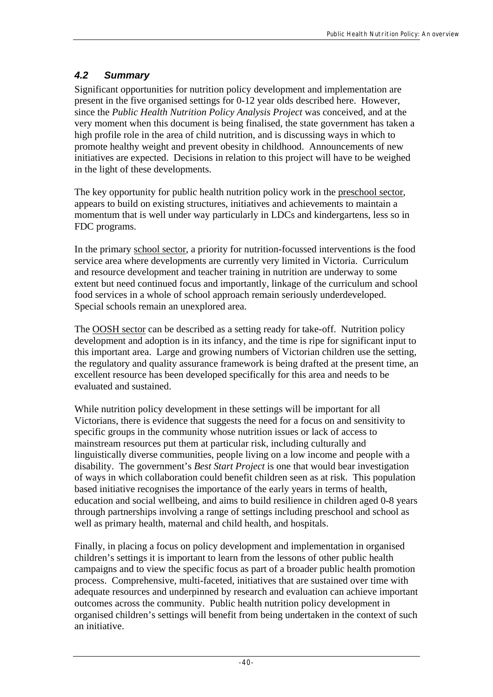## *4.2 Summary*

Significant opportunities for nutrition policy development and implementation are present in the five organised settings for 0-12 year olds described here. However, since the *Public Health Nutrition Policy Analysis Project* was conceived, and at the very moment when this document is being finalised, the state government has taken a high profile role in the area of child nutrition, and is discussing ways in which to promote healthy weight and prevent obesity in childhood. Announcements of new initiatives are expected. Decisions in relation to this project will have to be weighed in the light of these developments.

The key opportunity for public health nutrition policy work in the preschool sector, appears to build on existing structures, initiatives and achievements to maintain a momentum that is well under way particularly in LDCs and kindergartens, less so in FDC programs.

In the primary school sector, a priority for nutrition-focussed interventions is the food service area where developments are currently very limited in Victoria. Curriculum and resource development and teacher training in nutrition are underway to some extent but need continued focus and importantly, linkage of the curriculum and school food services in a whole of school approach remain seriously underdeveloped. Special schools remain an unexplored area.

The OOSH sector can be described as a setting ready for take-off. Nutrition policy development and adoption is in its infancy, and the time is ripe for significant input to this important area. Large and growing numbers of Victorian children use the setting, the regulatory and quality assurance framework is being drafted at the present time, an excellent resource has been developed specifically for this area and needs to be evaluated and sustained.

While nutrition policy development in these settings will be important for all Victorians, there is evidence that suggests the need for a focus on and sensitivity to specific groups in the community whose nutrition issues or lack of access to mainstream resources put them at particular risk, including culturally and linguistically diverse communities, people living on a low income and people with a disability. The government's *Best Start Project* is one that would bear investigation of ways in which collaboration could benefit children seen as at risk. This population based initiative recognises the importance of the early years in terms of health, education and social wellbeing, and aims to build resilience in children aged 0-8 years through partnerships involving a range of settings including preschool and school as well as primary health, maternal and child health, and hospitals.

Finally, in placing a focus on policy development and implementation in organised children's settings it is important to learn from the lessons of other public health campaigns and to view the specific focus as part of a broader public health promotion process. Comprehensive, multi-faceted, initiatives that are sustained over time with adequate resources and underpinned by research and evaluation can achieve important outcomes across the community. Public health nutrition policy development in organised children's settings will benefit from being undertaken in the context of such an initiative.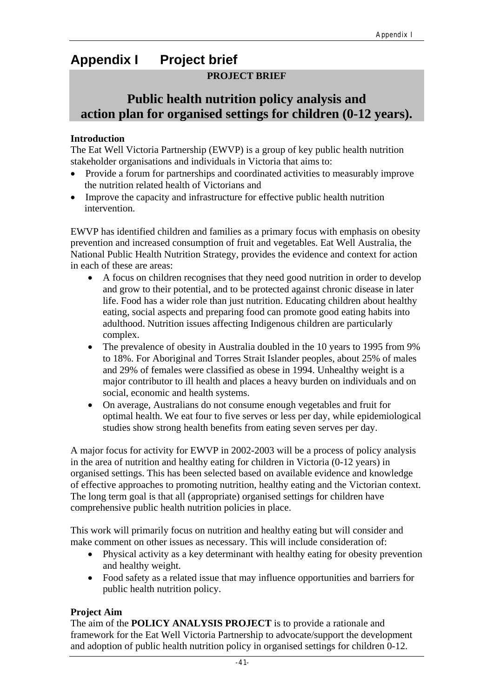# **Appendix I Project brief**

## **PROJECT BRIEF**

# **Public health nutrition policy analysis and action plan for organised settings for children (0-12 years).**

#### **Introduction**

The Eat Well Victoria Partnership (EWVP) is a group of key public health nutrition stakeholder organisations and individuals in Victoria that aims to:

- Provide a forum for partnerships and coordinated activities to measurably improve the nutrition related health of Victorians and
- Improve the capacity and infrastructure for effective public health nutrition intervention.

EWVP has identified children and families as a primary focus with emphasis on obesity prevention and increased consumption of fruit and vegetables. Eat Well Australia, the National Public Health Nutrition Strategy, provides the evidence and context for action in each of these are areas:

- A focus on children recognises that they need good nutrition in order to develop and grow to their potential, and to be protected against chronic disease in later life. Food has a wider role than just nutrition. Educating children about healthy eating, social aspects and preparing food can promote good eating habits into adulthood. Nutrition issues affecting Indigenous children are particularly complex.
- The prevalence of obesity in Australia doubled in the 10 years to 1995 from 9% to 18%. For Aboriginal and Torres Strait Islander peoples, about 25% of males and 29% of females were classified as obese in 1994. Unhealthy weight is a major contributor to ill health and places a heavy burden on individuals and on social, economic and health systems.
- On average, Australians do not consume enough vegetables and fruit for optimal health. We eat four to five serves or less per day, while epidemiological studies show strong health benefits from eating seven serves per day.

A major focus for activity for EWVP in 2002-2003 will be a process of policy analysis in the area of nutrition and healthy eating for children in Victoria (0-12 years) in organised settings. This has been selected based on available evidence and knowledge of effective approaches to promoting nutrition, healthy eating and the Victorian context. The long term goal is that all (appropriate) organised settings for children have comprehensive public health nutrition policies in place.

This work will primarily focus on nutrition and healthy eating but will consider and make comment on other issues as necessary. This will include consideration of:

- Physical activity as a key determinant with healthy eating for obesity prevention and healthy weight.
- Food safety as a related issue that may influence opportunities and barriers for public health nutrition policy.

## **Project Aim**

The aim of the **POLICY ANALYSIS PROJECT** is to provide a rationale and framework for the Eat Well Victoria Partnership to advocate/support the development and adoption of public health nutrition policy in organised settings for children 0-12.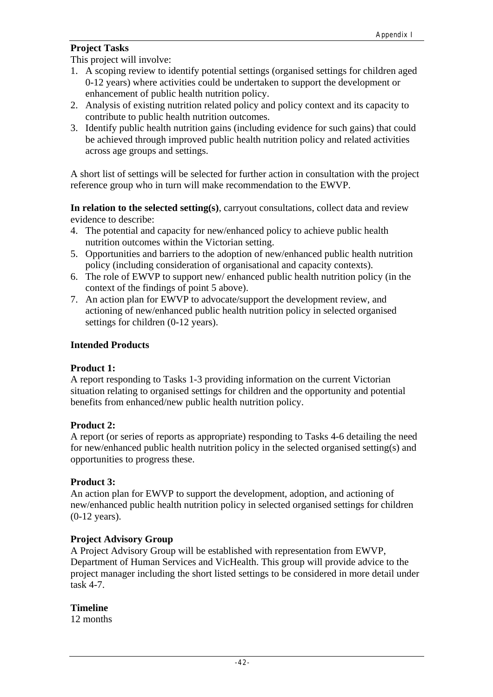### **Project Tasks**

This project will involve:

- 1. A scoping review to identify potential settings (organised settings for children aged 0-12 years) where activities could be undertaken to support the development or enhancement of public health nutrition policy.
- 2. Analysis of existing nutrition related policy and policy context and its capacity to contribute to public health nutrition outcomes.
- 3. Identify public health nutrition gains (including evidence for such gains) that could be achieved through improved public health nutrition policy and related activities across age groups and settings.

A short list of settings will be selected for further action in consultation with the project reference group who in turn will make recommendation to the EWVP.

**In relation to the selected setting(s)**, carryout consultations, collect data and review evidence to describe:

- 4. The potential and capacity for new/enhanced policy to achieve public health nutrition outcomes within the Victorian setting.
- 5. Opportunities and barriers to the adoption of new/enhanced public health nutrition policy (including consideration of organisational and capacity contexts).
- 6. The role of EWVP to support new/ enhanced public health nutrition policy (in the context of the findings of point 5 above).
- 7. An action plan for EWVP to advocate/support the development review, and actioning of new/enhanced public health nutrition policy in selected organised settings for children (0-12 years).

#### **Intended Products**

#### **Product 1:**

A report responding to Tasks 1-3 providing information on the current Victorian situation relating to organised settings for children and the opportunity and potential benefits from enhanced/new public health nutrition policy.

#### **Product 2:**

A report (or series of reports as appropriate) responding to Tasks 4-6 detailing the need for new/enhanced public health nutrition policy in the selected organised setting(s) and opportunities to progress these.

#### **Product 3:**

An action plan for EWVP to support the development, adoption, and actioning of new/enhanced public health nutrition policy in selected organised settings for children (0-12 years).

#### **Project Advisory Group**

A Project Advisory Group will be established with representation from EWVP, Department of Human Services and VicHealth. This group will provide advice to the project manager including the short listed settings to be considered in more detail under task 4-7.

#### **Timeline**

12 months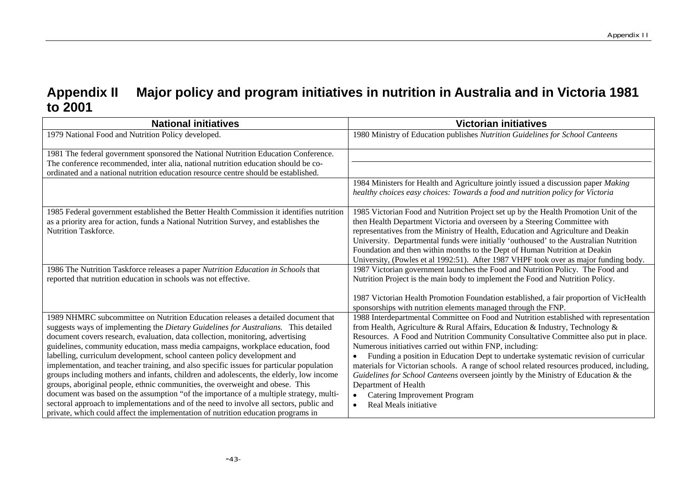# **Appendix II Major policy and program initiatives in nutrition in Australia and in Victoria 1981 to 2001**

| <b>National initiatives</b>                                                                                                                                           | <b>Victorian initiatives</b>                                                                                                                                               |
|-----------------------------------------------------------------------------------------------------------------------------------------------------------------------|----------------------------------------------------------------------------------------------------------------------------------------------------------------------------|
| 1979 National Food and Nutrition Policy developed.                                                                                                                    | 1980 Ministry of Education publishes Nutrition Guidelines for School Canteens                                                                                              |
| 1981 The federal government sponsored the National Nutrition Education Conference.                                                                                    |                                                                                                                                                                            |
| The conference recommended, inter alia, national nutrition education should be co-                                                                                    |                                                                                                                                                                            |
| ordinated and a national nutrition education resource centre should be established.                                                                                   |                                                                                                                                                                            |
|                                                                                                                                                                       | 1984 Ministers for Health and Agriculture jointly issued a discussion paper Making<br>healthy choices easy choices: Towards a food and nutrition policy for Victoria       |
| 1985 Federal government established the Better Health Commission it identifies nutrition                                                                              | 1985 Victorian Food and Nutrition Project set up by the Health Promotion Unit of the                                                                                       |
| as a priority area for action, funds a National Nutrition Survey, and establishes the<br><b>Nutrition Taskforce.</b>                                                  | then Health Department Victoria and overseen by a Steering Committee with                                                                                                  |
|                                                                                                                                                                       | representatives from the Ministry of Health, Education and Agriculture and Deakin<br>University. Departmental funds were initially 'outhoused' to the Australian Nutrition |
|                                                                                                                                                                       | Foundation and then within months to the Dept of Human Nutrition at Deakin                                                                                                 |
|                                                                                                                                                                       | University, (Powles et al 1992:51). After 1987 VHPF took over as major funding body.                                                                                       |
| 1986 The Nutrition Taskforce releases a paper Nutrition Education in Schools that                                                                                     | 1987 Victorian government launches the Food and Nutrition Policy. The Food and                                                                                             |
| reported that nutrition education in schools was not effective.                                                                                                       | Nutrition Project is the main body to implement the Food and Nutrition Policy.                                                                                             |
|                                                                                                                                                                       | 1987 Victorian Health Promotion Foundation established, a fair proportion of VicHealth                                                                                     |
|                                                                                                                                                                       | sponsorships with nutrition elements managed through the FNP.                                                                                                              |
| 1989 NHMRC subcommittee on Nutrition Education releases a detailed document that                                                                                      | 1988 Interdepartmental Committee on Food and Nutrition established with representation<br>from Health, Agriculture & Rural Affairs, Education & Industry, Technology &     |
| suggests ways of implementing the Dietary Guidelines for Australians. This detailed<br>document covers research, evaluation, data collection, monitoring, advertising | Resources. A Food and Nutrition Community Consultative Committee also put in place.                                                                                        |
| guidelines, community education, mass media campaigns, workplace education, food                                                                                      | Numerous initiatives carried out within FNP, including:                                                                                                                    |
| labelling, curriculum development, school canteen policy development and                                                                                              | Funding a position in Education Dept to undertake systematic revision of curricular<br>$\bullet$                                                                           |
| implementation, and teacher training, and also specific issues for particular population                                                                              | materials for Victorian schools. A range of school related resources produced, including,                                                                                  |
| groups including mothers and infants, children and adolescents, the elderly, low income                                                                               | Guidelines for School Canteens overseen jointly by the Ministry of Education & the                                                                                         |
| groups, aboriginal people, ethnic communities, the overweight and obese. This                                                                                         | Department of Health                                                                                                                                                       |
| document was based on the assumption "of the importance of a multiple strategy, multi-                                                                                | <b>Catering Improvement Program</b>                                                                                                                                        |
| sectoral approach to implementations and of the need to involve all sectors, public and                                                                               | Real Meals initiative                                                                                                                                                      |
| private, which could affect the implementation of nutrition education programs in                                                                                     |                                                                                                                                                                            |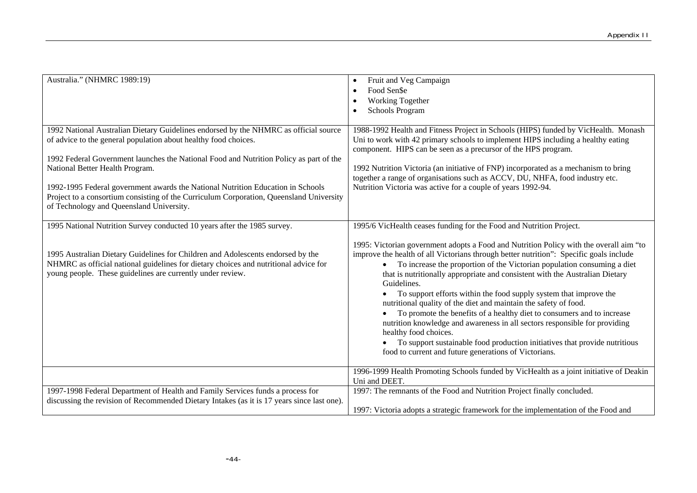| Australia." (NHMRC 1989:19)                                                                                                                                                                                                                                                                                                                                                                                                                                                                                    | Fruit and Veg Campaign<br>Food Sen\$e<br>Working Together<br><b>Schools Program</b>                                                                                                                                                                                                                                                                                                                                                                                                                                                                                                                                                                                                                                                                                                                                                                                                                |
|----------------------------------------------------------------------------------------------------------------------------------------------------------------------------------------------------------------------------------------------------------------------------------------------------------------------------------------------------------------------------------------------------------------------------------------------------------------------------------------------------------------|----------------------------------------------------------------------------------------------------------------------------------------------------------------------------------------------------------------------------------------------------------------------------------------------------------------------------------------------------------------------------------------------------------------------------------------------------------------------------------------------------------------------------------------------------------------------------------------------------------------------------------------------------------------------------------------------------------------------------------------------------------------------------------------------------------------------------------------------------------------------------------------------------|
| 1992 National Australian Dietary Guidelines endorsed by the NHMRC as official source<br>of advice to the general population about healthy food choices.<br>1992 Federal Government launches the National Food and Nutrition Policy as part of the<br>National Better Health Program.<br>1992-1995 Federal government awards the National Nutrition Education in Schools<br>Project to a consortium consisting of the Curriculum Corporation, Queensland University<br>of Technology and Queensland University. | 1988-1992 Health and Fitness Project in Schools (HIPS) funded by VicHealth. Monash<br>Uni to work with 42 primary schools to implement HIPS including a healthy eating<br>component. HIPS can be seen as a precursor of the HPS program.<br>1992 Nutrition Victoria (an initiative of FNP) incorporated as a mechanism to bring<br>together a range of organisations such as ACCV, DU, NHFA, food industry etc.<br>Nutrition Victoria was active for a couple of years 1992-94.                                                                                                                                                                                                                                                                                                                                                                                                                    |
| 1995 National Nutrition Survey conducted 10 years after the 1985 survey.<br>1995 Australian Dietary Guidelines for Children and Adolescents endorsed by the<br>NHMRC as official national guidelines for dietary choices and nutritional advice for<br>young people. These guidelines are currently under review.                                                                                                                                                                                              | 1995/6 VicHealth ceases funding for the Food and Nutrition Project.<br>1995: Victorian government adopts a Food and Nutrition Policy with the overall aim "to<br>improve the health of all Victorians through better nutrition": Specific goals include<br>To increase the proportion of the Victorian population consuming a diet<br>that is nutritionally appropriate and consistent with the Australian Dietary<br>Guidelines.<br>To support efforts within the food supply system that improve the<br>nutritional quality of the diet and maintain the safety of food.<br>To promote the benefits of a healthy diet to consumers and to increase<br>nutrition knowledge and awareness in all sectors responsible for providing<br>healthy food choices.<br>To support sustainable food production initiatives that provide nutritious<br>food to current and future generations of Victorians. |
| 1997-1998 Federal Department of Health and Family Services funds a process for<br>discussing the revision of Recommended Dietary Intakes (as it is 17 years since last one).                                                                                                                                                                                                                                                                                                                                   | 1996-1999 Health Promoting Schools funded by VicHealth as a joint initiative of Deakin<br>Uni and DEET.<br>1997: The remnants of the Food and Nutrition Project finally concluded.<br>1997: Victoria adopts a strategic framework for the implementation of the Food and                                                                                                                                                                                                                                                                                                                                                                                                                                                                                                                                                                                                                           |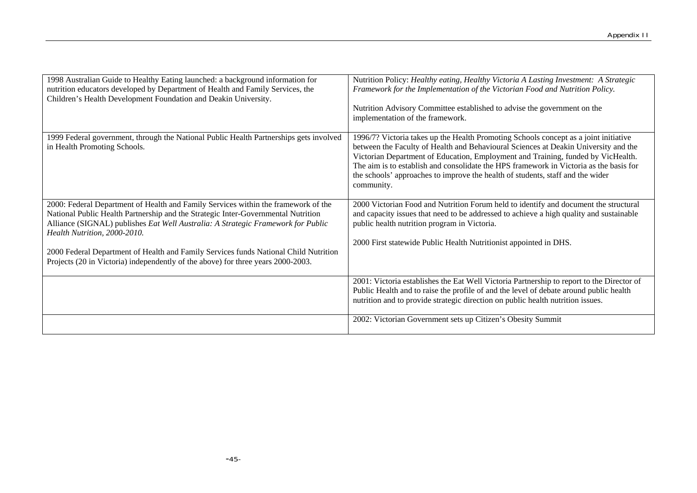| 1998 Australian Guide to Healthy Eating launched: a background information for<br>nutrition educators developed by Department of Health and Family Services, the<br>Children's Health Development Foundation and Deakin University.                                                                                                                                                                                                                                     | Nutrition Policy: Healthy eating, Healthy Victoria A Lasting Investment: A Strategic<br>Framework for the Implementation of the Victorian Food and Nutrition Policy.<br>Nutrition Advisory Committee established to advise the government on the<br>implementation of the framework.                                                                                                                                                                      |
|-------------------------------------------------------------------------------------------------------------------------------------------------------------------------------------------------------------------------------------------------------------------------------------------------------------------------------------------------------------------------------------------------------------------------------------------------------------------------|-----------------------------------------------------------------------------------------------------------------------------------------------------------------------------------------------------------------------------------------------------------------------------------------------------------------------------------------------------------------------------------------------------------------------------------------------------------|
| 1999 Federal government, through the National Public Health Partnerships gets involved<br>in Health Promoting Schools.                                                                                                                                                                                                                                                                                                                                                  | 1996/7? Victoria takes up the Health Promoting Schools concept as a joint initiative<br>between the Faculty of Health and Behavioural Sciences at Deakin University and the<br>Victorian Department of Education, Employment and Training, funded by VicHealth.<br>The aim is to establish and consolidate the HPS framework in Victoria as the basis for<br>the schools' approaches to improve the health of students, staff and the wider<br>community. |
| 2000: Federal Department of Health and Family Services within the framework of the<br>National Public Health Partnership and the Strategic Inter-Governmental Nutrition<br>Alliance (SIGNAL) publishes Eat Well Australia: A Strategic Framework for Public<br>Health Nutrition, 2000-2010.<br>2000 Federal Department of Health and Family Services funds National Child Nutrition<br>Projects (20 in Victoria) independently of the above) for three years 2000-2003. | 2000 Victorian Food and Nutrition Forum held to identify and document the structural<br>and capacity issues that need to be addressed to achieve a high quality and sustainable<br>public health nutrition program in Victoria.<br>2000 First statewide Public Health Nutritionist appointed in DHS.                                                                                                                                                      |
|                                                                                                                                                                                                                                                                                                                                                                                                                                                                         | 2001: Victoria establishes the Eat Well Victoria Partnership to report to the Director of<br>Public Health and to raise the profile of and the level of debate around public health<br>nutrition and to provide strategic direction on public health nutrition issues.                                                                                                                                                                                    |
|                                                                                                                                                                                                                                                                                                                                                                                                                                                                         | 2002: Victorian Government sets up Citizen's Obesity Summit                                                                                                                                                                                                                                                                                                                                                                                               |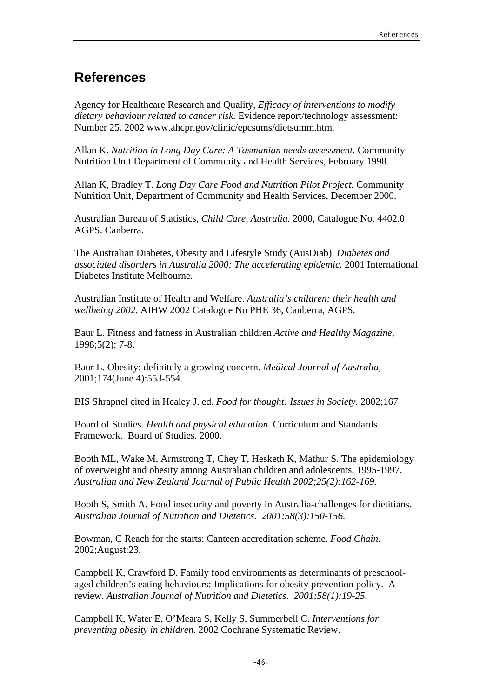# **References**

Agency for Healthcare Research and Quality, *Efficacy of interventions to modify dietary behaviour related to cancer risk.* Evidence report/technology assessment: Number 25. 2002 www.ahcpr.gov/clinic/epcsums/dietsumm.htm.

Allan K. *Nutrition in Long Day Care: A Tasmanian needs assessment.* Community Nutrition Unit Department of Community and Health Services, February 1998.

Allan K, Bradley T. *Long Day Care Food and Nutrition Pilot Project.* Community Nutrition Unit, Department of Community and Health Services, December 2000.

Australian Bureau of Statistics, *Child Care, Australia.* 2000, Catalogue No. 4402.0 AGPS. Canberra.

The Australian Diabetes, Obesity and Lifestyle Study (AusDiab). *Diabetes and associated disorders in Australia 2000: The accelerating epidemic.* 2001 International Diabetes Institute Melbourne.

Australian Institute of Health and Welfare. *Australia's children: their health and wellbeing 2002.* AIHW 2002 Catalogue No PHE 36, Canberra, AGPS.

Baur L. Fitness and fatness in Australian children *Active and Healthy Magazine*, 1998;5(2): 7-8.

Baur L. Obesity: definitely a growing concern. *Medical Journal of Australia*, 2001;174(June 4):553-554.

BIS Shrapnel cited in Healey J. ed. *Food for thought: Issues in Society.* 2002;167

Board of Studies. *Health and physical education.* Curriculum and Standards Framework. Board of Studies. 2000.

Booth ML, Wake M, Armstrong T, Chey T, Hesketh K, Mathur S. The epidemiology of overweight and obesity among Australian children and adolescents, 1995-1997. *Australian and New Zealand Journal of Public Health 2002;25(2):162-169.*

Booth S, Smith A. Food insecurity and poverty in Australia-challenges for dietitians. *Australian Journal of Nutrition and Dietetics. 2001;58(3):150-156.*

Bowman, C Reach for the starts: Canteen accreditation scheme. *Food Chain.* 2002;August:23.

Campbell K, Crawford D. Family food environments as determinants of preschoolaged children's eating behaviours: Implications for obesity prevention policy. A review. *Australian Journal of Nutrition and Dietetics. 2001;58(1):19-25.* 

Campbell K, Water E, O'Meara S, Kelly S, Summerbell C. *Interventions for preventing obesity in children.* 2002 Cochrane Systematic Review.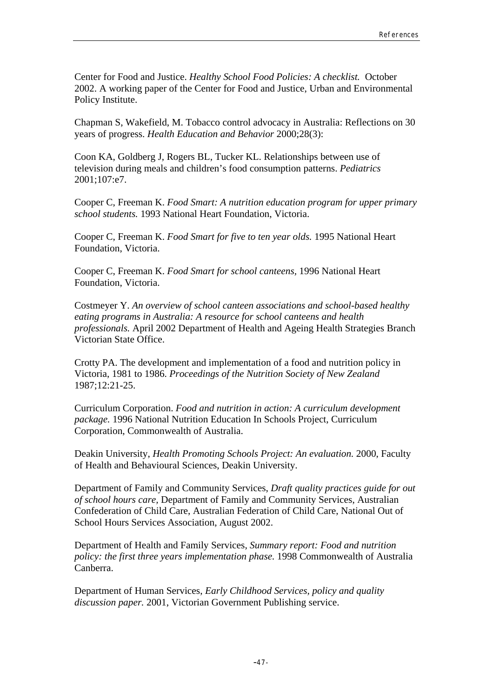Center for Food and Justice. *Healthy School Food Policies: A checklist.* October 2002. A working paper of the Center for Food and Justice, Urban and Environmental Policy Institute.

Chapman S, Wakefield, M. Tobacco control advocacy in Australia: Reflections on 30 years of progress. *Health Education and Behavior* 2000;28(3):

Coon KA, Goldberg J, Rogers BL, Tucker KL. Relationships between use of television during meals and children's food consumption patterns. *Pediatrics* 2001;107:e7.

Cooper C, Freeman K. *Food Smart: A nutrition education program for upper primary school students.* 1993 National Heart Foundation, Victoria.

Cooper C, Freeman K. *Food Smart for five to ten year olds.* 1995 National Heart Foundation, Victoria.

Cooper C, Freeman K. *Food Smart for school canteens,* 1996 National Heart Foundation, Victoria.

Costmeyer Y. *An overview of school canteen associations and school-based healthy eating programs in Australia: A resource for school canteens and health professionals.* April 2002 Department of Health and Ageing Health Strategies Branch Victorian State Office.

Crotty PA. The development and implementation of a food and nutrition policy in Victoria, 1981 to 1986. *Proceedings of the Nutrition Society of New Zealand*  1987;12:21-25.

Curriculum Corporation. *Food and nutrition in action: A curriculum development package.* 1996 National Nutrition Education In Schools Project, Curriculum Corporation, Commonwealth of Australia.

Deakin University, *Health Promoting Schools Project: An evaluation.* 2000, Faculty of Health and Behavioural Sciences, Deakin University.

Department of Family and Community Services, *Draft quality practices guide for out of school hours care,* Department of Family and Community Services, Australian Confederation of Child Care, Australian Federation of Child Care, National Out of School Hours Services Association, August 2002.

Department of Health and Family Services, *Summary report: Food and nutrition policy: the first three years implementation phase.* 1998 Commonwealth of Australia Canberra.

Department of Human Services, *Early Childhood Services, policy and quality discussion paper.* 2001, Victorian Government Publishing service.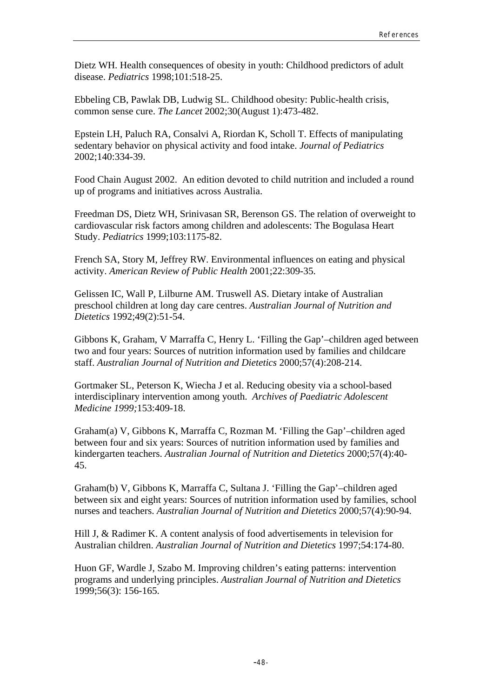Dietz WH. Health consequences of obesity in youth: Childhood predictors of adult disease. *Pediatrics* 1998;101:518-25.

Ebbeling CB, Pawlak DB, Ludwig SL. Childhood obesity: Public-health crisis, common sense cure. *The Lancet* 2002;30(August 1):473-482.

Epstein LH, Paluch RA, Consalvi A, Riordan K, Scholl T. Effects of manipulating sedentary behavior on physical activity and food intake. *Journal of Pediatrics* 2002;140:334-39.

Food Chain August 2002. An edition devoted to child nutrition and included a round up of programs and initiatives across Australia.

Freedman DS, Dietz WH, Srinivasan SR, Berenson GS. The relation of overweight to cardiovascular risk factors among children and adolescents: The Bogulasa Heart Study. *Pediatrics* 1999;103:1175-82.

French SA, Story M, Jeffrey RW. Environmental influences on eating and physical activity. *American Review of Public Health* 2001;22:309-35.

Gelissen IC, Wall P, Lilburne AM. Truswell AS. Dietary intake of Australian preschool children at long day care centres. *Australian Journal of Nutrition and Dietetics* 1992;49(2):51-54.

Gibbons K, Graham, V Marraffa C, Henry L. 'Filling the Gap'–children aged between two and four years: Sources of nutrition information used by families and childcare staff. *Australian Journal of Nutrition and Dietetics* 2000;57(4):208-214.

Gortmaker SL, Peterson K, Wiecha J et al. Reducing obesity via a school-based interdisciplinary intervention among youth. *Archives of Paediatric Adolescent Medicine 1999;*153:409-18.

Graham(a) V, Gibbons K, Marraffa C, Rozman M. 'Filling the Gap'–children aged between four and six years: Sources of nutrition information used by families and kindergarten teachers. *Australian Journal of Nutrition and Dietetics* 2000;57(4):40- 45.

Graham(b) V, Gibbons K, Marraffa C, Sultana J. 'Filling the Gap'–children aged between six and eight years: Sources of nutrition information used by families, school nurses and teachers. *Australian Journal of Nutrition and Dietetics* 2000;57(4):90-94.

Hill J, & Radimer K. A content analysis of food advertisements in television for Australian children. *Australian Journal of Nutrition and Dietetics* 1997;54:174-80.

Huon GF, Wardle J, Szabo M. Improving children's eating patterns: intervention programs and underlying principles. *Australian Journal of Nutrition and Dietetics*  1999;56(3): 156-165.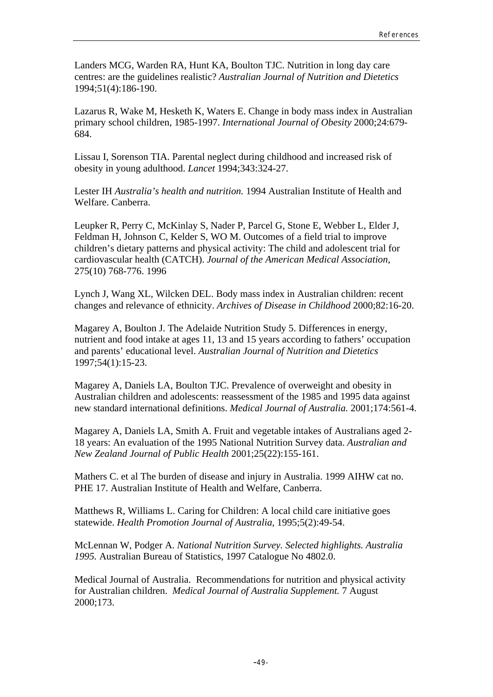Landers MCG, Warden RA, Hunt KA, Boulton TJC. Nutrition in long day care centres: are the guidelines realistic? *Australian Journal of Nutrition and Dietetics* 1994;51(4):186-190.

Lazarus R, Wake M, Hesketh K, Waters E. Change in body mass index in Australian primary school children, 1985-1997. *International Journal of Obesity* 2000;24:679- 684.

Lissau I, Sorenson TIA. Parental neglect during childhood and increased risk of obesity in young adulthood. *Lancet* 1994;343:324-27.

Lester IH *Australia's health and nutrition.* 1994 Australian Institute of Health and Welfare. Canberra.

Leupker R, Perry C, McKinlay S, Nader P, Parcel G, Stone E, Webber L, Elder J, Feldman H, Johnson C, Kelder S, WO M. Outcomes of a field trial to improve children's dietary patterns and physical activity: The child and adolescent trial for cardiovascular health (CATCH). *Journal of the American Medical Association,*  275(10) 768-776. 1996

Lynch J, Wang XL, Wilcken DEL. Body mass index in Australian children: recent changes and relevance of ethnicity. *Archives of Disease in Childhood* 2000;82:16-20.

Magarey A, Boulton J. The Adelaide Nutrition Study 5. Differences in energy, nutrient and food intake at ages 11, 13 and 15 years according to fathers' occupation and parents' educational level. *Australian Journal of Nutrition and Dietetics* 1997;54(1):15-23.

Magarey A, Daniels LA, Boulton TJC. Prevalence of overweight and obesity in Australian children and adolescents: reassessment of the 1985 and 1995 data against new standard international definitions. *Medical Journal of Australia.* 2001;174:561-4.

Magarey A, Daniels LA, Smith A. Fruit and vegetable intakes of Australians aged 2- 18 years: An evaluation of the 1995 National Nutrition Survey data. *Australian and New Zealand Journal of Public Health* 2001;25(22):155-161.

Mathers C. et al The burden of disease and injury in Australia. 1999 AIHW cat no. PHE 17. Australian Institute of Health and Welfare, Canberra.

Matthews R, Williams L. Caring for Children: A local child care initiative goes statewide. *Health Promotion Journal of Australia,* 1995;5(2):49-54.

McLennan W, Podger A. *National Nutrition Survey. Selected highlights. Australia 1995.* Australian Bureau of Statistics, 1997 Catalogue No 4802.0.

Medical Journal of Australia. Recommendations for nutrition and physical activity for Australian children. *Medical Journal of Australia Supplement.* 7 August 2000;173.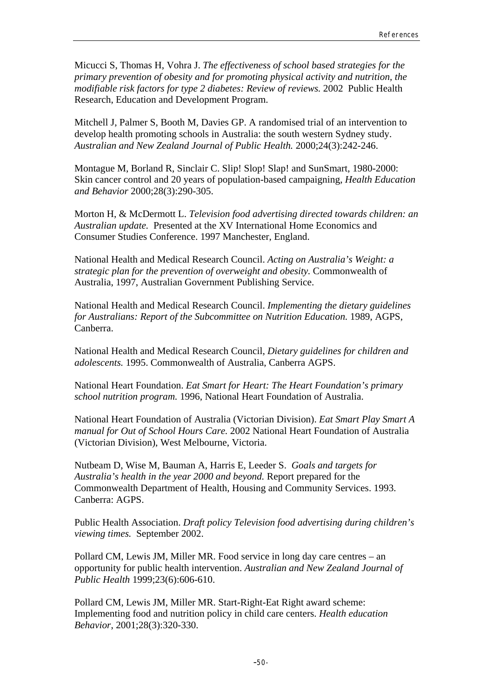Micucci S, Thomas H, Vohra J. *The effectiveness of school based strategies for the primary prevention of obesity and for promoting physical activity and nutrition, the modifiable risk factors for type 2 diabetes: Review of reviews.* 2002 Public Health Research, Education and Development Program.

Mitchell J, Palmer S, Booth M, Davies GP. A randomised trial of an intervention to develop health promoting schools in Australia: the south western Sydney study. *Australian and New Zealand Journal of Public Health.* 2000;24(3):242-246.

Montague M, Borland R, Sinclair C. Slip! Slop! Slap! and SunSmart, 1980-2000: Skin cancer control and 20 years of population-based campaigning, *Health Education and Behavior* 2000;28(3):290-305.

Morton H, & McDermott L. *Television food advertising directed towards children: an Australian update.* Presented at the XV International Home Economics and Consumer Studies Conference. 1997 Manchester, England.

National Health and Medical Research Council. *Acting on Australia's Weight: a strategic plan for the prevention of overweight and obesity.* Commonwealth of Australia, 1997, Australian Government Publishing Service.

National Health and Medical Research Council. *Implementing the dietary guidelines for Australians: Report of the Subcommittee on Nutrition Education.* 1989, AGPS, Canberra.

National Health and Medical Research Council, *Dietary guidelines for children and adolescents.* 1995. Commonwealth of Australia, Canberra AGPS.

National Heart Foundation. *Eat Smart for Heart: The Heart Foundation's primary school nutrition program.* 1996, National Heart Foundation of Australia.

National Heart Foundation of Australia (Victorian Division). *Eat Smart Play Smart A manual for Out of School Hours Care.* 2002 National Heart Foundation of Australia (Victorian Division), West Melbourne, Victoria.

Nutbeam D, Wise M, Bauman A, Harris E, Leeder S. *Goals and targets for Australia's health in the year 2000 and beyond.* Report prepared for the Commonwealth Department of Health, Housing and Community Services. 1993. Canberra: AGPS.

Public Health Association. *Draft policy Television food advertising during children's viewing times.* September 2002.

Pollard CM, Lewis JM, Miller MR. Food service in long day care centres – an opportunity for public health intervention. *Australian and New Zealand Journal of Public Health* 1999;23(6):606-610.

Pollard CM, Lewis JM, Miller MR. Start-Right-Eat Right award scheme: Implementing food and nutrition policy in child care centers. *Health education Behavior*, 2001;28(3):320-330.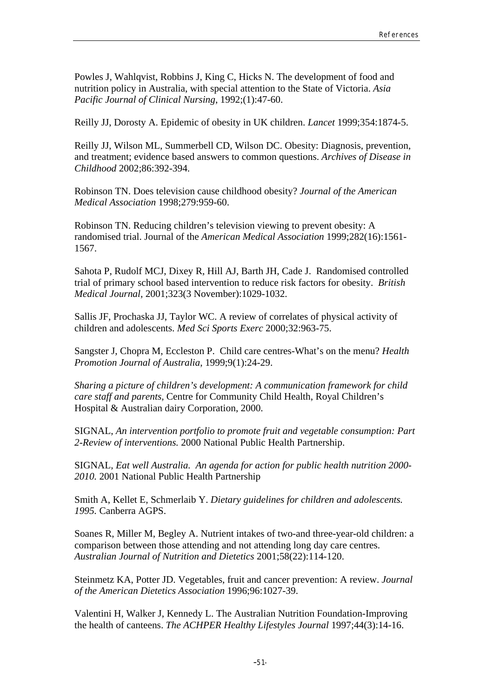Powles J, Wahlqvist, Robbins J, King C, Hicks N. The development of food and nutrition policy in Australia, with special attention to the State of Victoria. *Asia Pacific Journal of Clinical Nursing*, 1992;(1):47-60.

Reilly JJ, Dorosty A. Epidemic of obesity in UK children. *Lancet* 1999;354:1874-5.

Reilly JJ, Wilson ML, Summerbell CD, Wilson DC. Obesity: Diagnosis, prevention, and treatment; evidence based answers to common questions. *Archives of Disease in Childhood* 2002;86:392-394.

Robinson TN. Does television cause childhood obesity? *Journal of the American Medical Association* 1998;279:959-60.

Robinson TN. Reducing children's television viewing to prevent obesity: A randomised trial. Journal of the *American Medical Association* 1999;282(16):1561- 1567.

Sahota P, Rudolf MCJ, Dixey R, Hill AJ, Barth JH, Cade J. Randomised controlled trial of primary school based intervention to reduce risk factors for obesity. *British Medical Journal,* 2001;323(3 November):1029-1032.

Sallis JF, Prochaska JJ, Taylor WC. A review of correlates of physical activity of children and adolescents. *Med Sci Sports Exerc* 2000;32:963-75.

Sangster J, Chopra M, Eccleston P. Child care centres-What's on the menu? *Health Promotion Journal of Australia*, 1999;9(1):24-29.

*Sharing a picture of children's development: A communication framework for child care staff and parents,* Centre for Community Child Health, Royal Children's Hospital & Australian dairy Corporation, 2000.

SIGNAL, *An intervention portfolio to promote fruit and vegetable consumption: Part 2-Review of interventions.* 2000 National Public Health Partnership.

SIGNAL, *Eat well Australia. An agenda for action for public health nutrition 2000- 2010.* 2001 National Public Health Partnership

Smith A, Kellet E, Schmerlaib Y. *Dietary guidelines for children and adolescents. 1995.* Canberra AGPS.

Soanes R, Miller M, Begley A. Nutrient intakes of two-and three-year-old children: a comparison between those attending and not attending long day care centres. *Australian Journal of Nutrition and Dietetics* 2001;58(22):114-120.

Steinmetz KA, Potter JD. Vegetables, fruit and cancer prevention: A review. *Journal of the American Dietetics Association* 1996;96:1027-39.

Valentini H, Walker J, Kennedy L. The Australian Nutrition Foundation-Improving the health of canteens. *The ACHPER Healthy Lifestyles Journal* 1997;44(3):14-16.